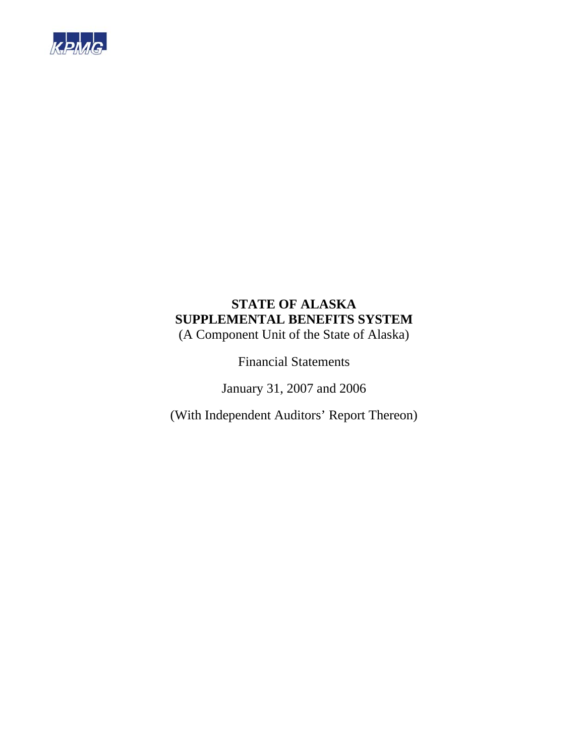

# **STATE OF ALASKA SUPPLEMENTAL BENEFITS SYSTEM**

(A Component Unit of the State of Alaska)

Financial Statements

January 31, 2007 and 2006

(With Independent Auditors' Report Thereon)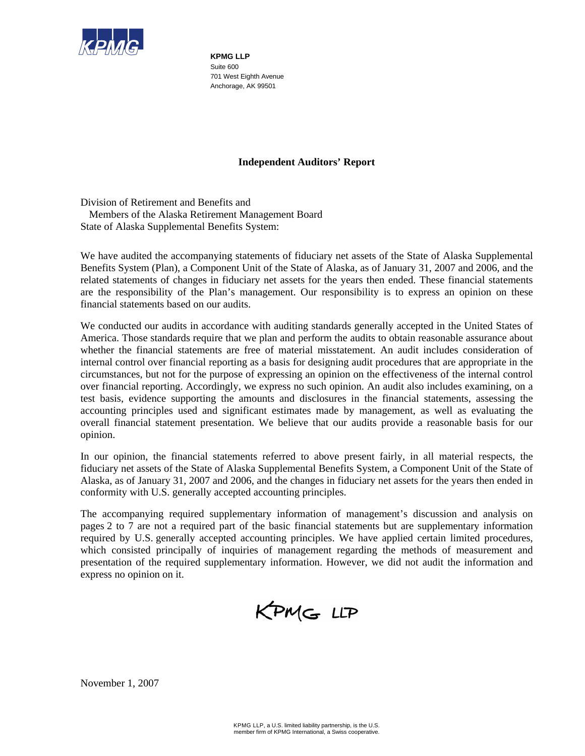

**KPMG LLP**  Suite 600 701 West Eighth Avenue Anchorage, AK 99501

# **Independent Auditors' Report**

Division of Retirement and Benefits and Members of the Alaska Retirement Management Board State of Alaska Supplemental Benefits System:

We have audited the accompanying statements of fiduciary net assets of the State of Alaska Supplemental Benefits System (Plan), a Component Unit of the State of Alaska, as of January 31, 2007 and 2006, and the related statements of changes in fiduciary net assets for the years then ended. These financial statements are the responsibility of the Plan's management. Our responsibility is to express an opinion on these financial statements based on our audits.

We conducted our audits in accordance with auditing standards generally accepted in the United States of America. Those standards require that we plan and perform the audits to obtain reasonable assurance about whether the financial statements are free of material misstatement. An audit includes consideration of internal control over financial reporting as a basis for designing audit procedures that are appropriate in the circumstances, but not for the purpose of expressing an opinion on the effectiveness of the internal control over financial reporting. Accordingly, we express no such opinion. An audit also includes examining, on a test basis, evidence supporting the amounts and disclosures in the financial statements, assessing the accounting principles used and significant estimates made by management, as well as evaluating the overall financial statement presentation. We believe that our audits provide a reasonable basis for our opinion.

In our opinion, the financial statements referred to above present fairly, in all material respects, the fiduciary net assets of the State of Alaska Supplemental Benefits System, a Component Unit of the State of Alaska, as of January 31, 2007 and 2006, and the changes in fiduciary net assets for the years then ended in conformity with U.S. generally accepted accounting principles.

The accompanying required supplementary information of management's discussion and analysis on pages 2 to 7 are not a required part of the basic financial statements but are supplementary information required by U.S. generally accepted accounting principles. We have applied certain limited procedures, which consisted principally of inquiries of management regarding the methods of measurement and presentation of the required supplementary information. However, we did not audit the information and express no opinion on it.



November 1, 2007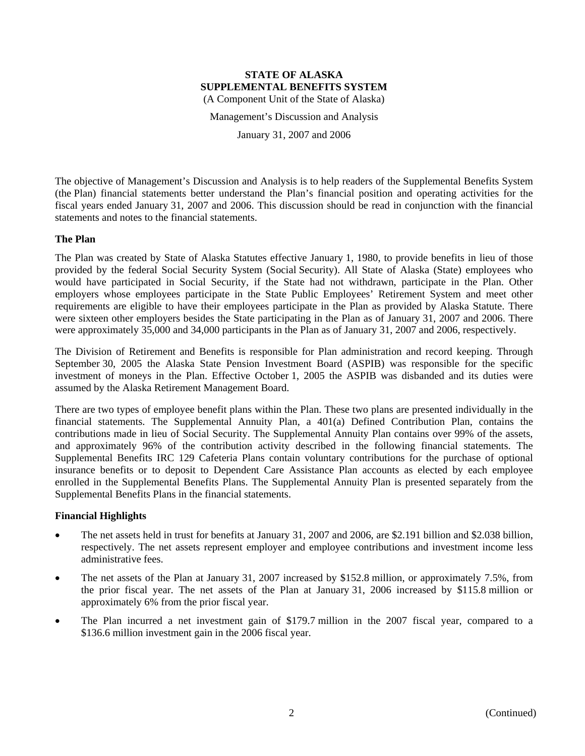Management's Discussion and Analysis

January 31, 2007 and 2006

The objective of Management's Discussion and Analysis is to help readers of the Supplemental Benefits System (the Plan) financial statements better understand the Plan's financial position and operating activities for the fiscal years ended January 31, 2007 and 2006. This discussion should be read in conjunction with the financial statements and notes to the financial statements.

# **The Plan**

The Plan was created by State of Alaska Statutes effective January 1, 1980, to provide benefits in lieu of those provided by the federal Social Security System (Social Security). All State of Alaska (State) employees who would have participated in Social Security, if the State had not withdrawn, participate in the Plan. Other employers whose employees participate in the State Public Employees' Retirement System and meet other requirements are eligible to have their employees participate in the Plan as provided by Alaska Statute. There were sixteen other employers besides the State participating in the Plan as of January 31, 2007 and 2006. There were approximately 35,000 and 34,000 participants in the Plan as of January 31, 2007 and 2006, respectively.

The Division of Retirement and Benefits is responsible for Plan administration and record keeping. Through September 30, 2005 the Alaska State Pension Investment Board (ASPIB) was responsible for the specific investment of moneys in the Plan. Effective October 1, 2005 the ASPIB was disbanded and its duties were assumed by the Alaska Retirement Management Board.

There are two types of employee benefit plans within the Plan. These two plans are presented individually in the financial statements. The Supplemental Annuity Plan, a 401(a) Defined Contribution Plan, contains the contributions made in lieu of Social Security. The Supplemental Annuity Plan contains over 99% of the assets, and approximately 96% of the contribution activity described in the following financial statements. The Supplemental Benefits IRC 129 Cafeteria Plans contain voluntary contributions for the purchase of optional insurance benefits or to deposit to Dependent Care Assistance Plan accounts as elected by each employee enrolled in the Supplemental Benefits Plans. The Supplemental Annuity Plan is presented separately from the Supplemental Benefits Plans in the financial statements.

# **Financial Highlights**

- The net assets held in trust for benefits at January 31, 2007 and 2006, are \$2.191 billion and \$2.038 billion, respectively. The net assets represent employer and employee contributions and investment income less administrative fees.
- The net assets of the Plan at January 31, 2007 increased by \$152.8 million, or approximately 7.5%, from the prior fiscal year. The net assets of the Plan at January 31, 2006 increased by \$115.8 million or approximately 6% from the prior fiscal year.
- The Plan incurred a net investment gain of \$179.7 million in the 2007 fiscal year, compared to a \$136.6 million investment gain in the 2006 fiscal year.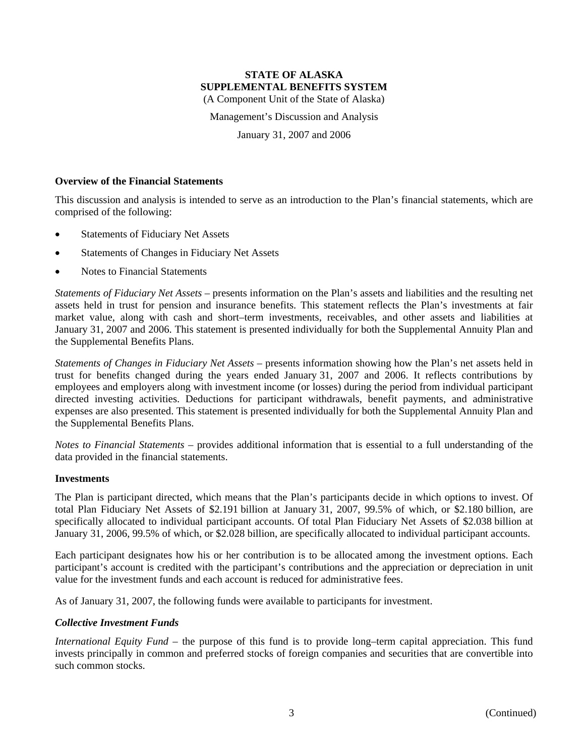Management's Discussion and Analysis

January 31, 2007 and 2006

#### **Overview of the Financial Statements**

This discussion and analysis is intended to serve as an introduction to the Plan's financial statements, which are comprised of the following:

- Statements of Fiduciary Net Assets
- Statements of Changes in Fiduciary Net Assets
- Notes to Financial Statements

*Statements of Fiduciary Net Assets* – presents information on the Plan's assets and liabilities and the resulting net assets held in trust for pension and insurance benefits. This statement reflects the Plan's investments at fair market value, along with cash and short–term investments, receivables, and other assets and liabilities at January 31, 2007 and 2006. This statement is presented individually for both the Supplemental Annuity Plan and the Supplemental Benefits Plans.

*Statements of Changes in Fiduciary Net Assets* – presents information showing how the Plan's net assets held in trust for benefits changed during the years ended January 31, 2007 and 2006. It reflects contributions by employees and employers along with investment income (or losses) during the period from individual participant directed investing activities. Deductions for participant withdrawals, benefit payments, and administrative expenses are also presented. This statement is presented individually for both the Supplemental Annuity Plan and the Supplemental Benefits Plans.

*Notes to Financial Statements* – provides additional information that is essential to a full understanding of the data provided in the financial statements.

#### **Investments**

The Plan is participant directed, which means that the Plan's participants decide in which options to invest. Of total Plan Fiduciary Net Assets of \$2.191 billion at January 31, 2007, 99.5% of which, or \$2.180 billion, are specifically allocated to individual participant accounts. Of total Plan Fiduciary Net Assets of \$2.038 billion at January 31, 2006, 99.5% of which, or \$2.028 billion, are specifically allocated to individual participant accounts.

Each participant designates how his or her contribution is to be allocated among the investment options. Each participant's account is credited with the participant's contributions and the appreciation or depreciation in unit value for the investment funds and each account is reduced for administrative fees.

As of January 31, 2007, the following funds were available to participants for investment.

#### *Collective Investment Funds*

*International Equity Fund* – the purpose of this fund is to provide long–term capital appreciation. This fund invests principally in common and preferred stocks of foreign companies and securities that are convertible into such common stocks.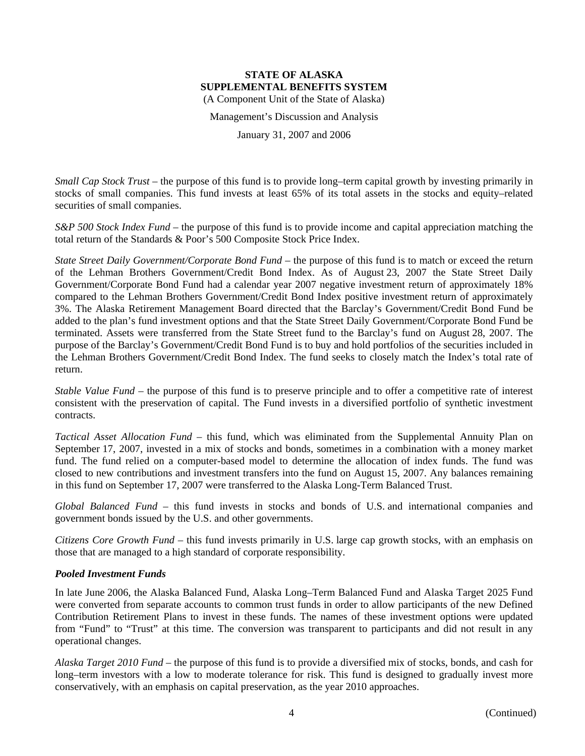Management's Discussion and Analysis

January 31, 2007 and 2006

*Small Cap Stock Trust* – the purpose of this fund is to provide long–term capital growth by investing primarily in stocks of small companies. This fund invests at least 65% of its total assets in the stocks and equity–related securities of small companies.

*S&P 500 Stock Index Fund* – the purpose of this fund is to provide income and capital appreciation matching the total return of the Standards & Poor's 500 Composite Stock Price Index.

*State Street Daily Government/Corporate Bond Fund* – the purpose of this fund is to match or exceed the return of the Lehman Brothers Government/Credit Bond Index. As of August 23, 2007 the State Street Daily Government/Corporate Bond Fund had a calendar year 2007 negative investment return of approximately 18% compared to the Lehman Brothers Government/Credit Bond Index positive investment return of approximately 3%. The Alaska Retirement Management Board directed that the Barclay's Government/Credit Bond Fund be added to the plan's fund investment options and that the State Street Daily Government/Corporate Bond Fund be terminated. Assets were transferred from the State Street fund to the Barclay's fund on August 28, 2007. The purpose of the Barclay's Government/Credit Bond Fund is to buy and hold portfolios of the securities included in the Lehman Brothers Government/Credit Bond Index. The fund seeks to closely match the Index's total rate of return.

*Stable Value Fund* – the purpose of this fund is to preserve principle and to offer a competitive rate of interest consistent with the preservation of capital. The Fund invests in a diversified portfolio of synthetic investment contracts.

*Tactical Asset Allocation Fund* – this fund, which was eliminated from the Supplemental Annuity Plan on September 17, 2007, invested in a mix of stocks and bonds, sometimes in a combination with a money market fund. The fund relied on a computer-based model to determine the allocation of index funds. The fund was closed to new contributions and investment transfers into the fund on August 15, 2007. Any balances remaining in this fund on September 17, 2007 were transferred to the Alaska Long-Term Balanced Trust.

*Global Balanced Fund* – this fund invests in stocks and bonds of U.S. and international companies and government bonds issued by the U.S. and other governments.

*Citizens Core Growth Fund* – this fund invests primarily in U.S. large cap growth stocks, with an emphasis on those that are managed to a high standard of corporate responsibility.

#### *Pooled Investment Funds*

In late June 2006, the Alaska Balanced Fund, Alaska Long–Term Balanced Fund and Alaska Target 2025 Fund were converted from separate accounts to common trust funds in order to allow participants of the new Defined Contribution Retirement Plans to invest in these funds. The names of these investment options were updated from "Fund" to "Trust" at this time. The conversion was transparent to participants and did not result in any operational changes.

*Alaska Target 2010 Fund* – the purpose of this fund is to provide a diversified mix of stocks, bonds, and cash for long–term investors with a low to moderate tolerance for risk. This fund is designed to gradually invest more conservatively, with an emphasis on capital preservation, as the year 2010 approaches.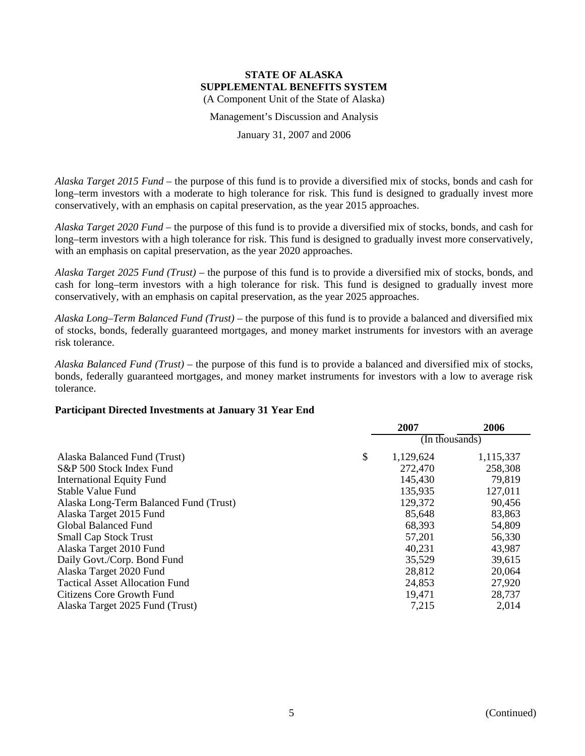Management's Discussion and Analysis

January 31, 2007 and 2006

*Alaska Target 2015 Fund* – the purpose of this fund is to provide a diversified mix of stocks, bonds and cash for long–term investors with a moderate to high tolerance for risk. This fund is designed to gradually invest more conservatively, with an emphasis on capital preservation, as the year 2015 approaches.

*Alaska Target 2020 Fund* – the purpose of this fund is to provide a diversified mix of stocks, bonds, and cash for long–term investors with a high tolerance for risk. This fund is designed to gradually invest more conservatively, with an emphasis on capital preservation, as the year 2020 approaches.

*Alaska Target 2025 Fund (Trust)* – the purpose of this fund is to provide a diversified mix of stocks, bonds, and cash for long–term investors with a high tolerance for risk. This fund is designed to gradually invest more conservatively, with an emphasis on capital preservation, as the year 2025 approaches.

*Alaska Long–Term Balanced Fund (Trust)* – the purpose of this fund is to provide a balanced and diversified mix of stocks, bonds, federally guaranteed mortgages, and money market instruments for investors with an average risk tolerance.

*Alaska Balanced Fund (Trust)* – the purpose of this fund is to provide a balanced and diversified mix of stocks, bonds, federally guaranteed mortgages, and money market instruments for investors with a low to average risk tolerance.

#### **Participant Directed Investments at January 31 Year End**

|                                        | 2007                             | 2006      |
|----------------------------------------|----------------------------------|-----------|
|                                        | $(\ln \text{th} \text{ousands})$ |           |
| Alaska Balanced Fund (Trust)           | \$<br>1,129,624                  | 1,115,337 |
| S&P 500 Stock Index Fund               | 272,470                          | 258,308   |
| <b>International Equity Fund</b>       | 145,430                          | 79,819    |
| Stable Value Fund                      | 135,935                          | 127,011   |
| Alaska Long-Term Balanced Fund (Trust) | 129,372                          | 90,456    |
| Alaska Target 2015 Fund                | 85,648                           | 83,863    |
| Global Balanced Fund                   | 68,393                           | 54,809    |
| <b>Small Cap Stock Trust</b>           | 57,201                           | 56,330    |
| Alaska Target 2010 Fund                | 40,231                           | 43,987    |
| Daily Govt./Corp. Bond Fund            | 35,529                           | 39,615    |
| Alaska Target 2020 Fund                | 28,812                           | 20,064    |
| <b>Tactical Asset Allocation Fund</b>  | 24,853                           | 27,920    |
| Citizens Core Growth Fund              | 19,471                           | 28,737    |
| Alaska Target 2025 Fund (Trust)        | 7,215                            | 2,014     |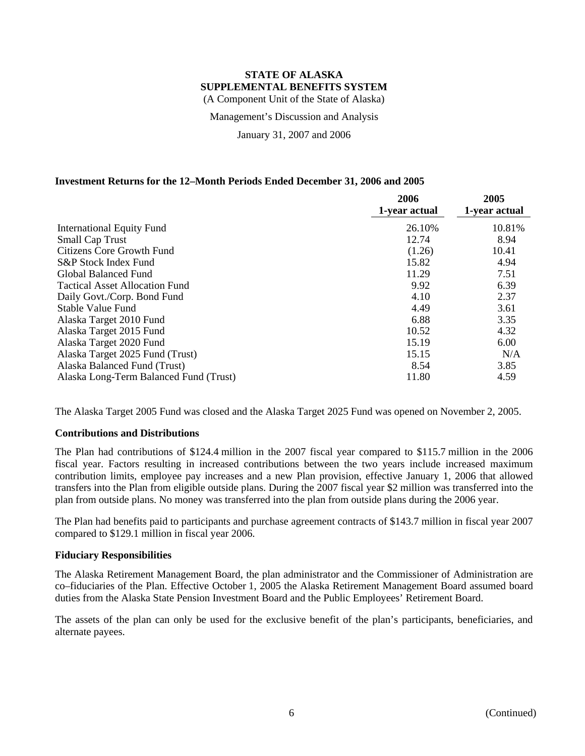Management's Discussion and Analysis

January 31, 2007 and 2006

# **Investment Returns for the 12–Month Periods Ended December 31, 2006 and 2005**

|                                        | 2006<br>1-year actual | 2005<br>1-year actual |
|----------------------------------------|-----------------------|-----------------------|
| <b>International Equity Fund</b>       | 26.10%                | 10.81%                |
| <b>Small Cap Trust</b>                 | 12.74                 | 8.94                  |
| Citizens Core Growth Fund              | (1.26)                | 10.41                 |
| S&P Stock Index Fund                   | 15.82                 | 4.94                  |
| Global Balanced Fund                   | 11.29                 | 7.51                  |
| <b>Tactical Asset Allocation Fund</b>  | 9.92                  | 6.39                  |
| Daily Govt./Corp. Bond Fund            | 4.10                  | 2.37                  |
| <b>Stable Value Fund</b>               | 4.49                  | 3.61                  |
| Alaska Target 2010 Fund                | 6.88                  | 3.35                  |
| Alaska Target 2015 Fund                | 10.52                 | 4.32                  |
| Alaska Target 2020 Fund                | 15.19                 | 6.00                  |
| Alaska Target 2025 Fund (Trust)        | 15.15                 | N/A                   |
| Alaska Balanced Fund (Trust)           | 8.54                  | 3.85                  |
| Alaska Long-Term Balanced Fund (Trust) | 11.80                 | 4.59                  |

The Alaska Target 2005 Fund was closed and the Alaska Target 2025 Fund was opened on November 2, 2005.

#### **Contributions and Distributions**

The Plan had contributions of \$124.4 million in the 2007 fiscal year compared to \$115.7 million in the 2006 fiscal year. Factors resulting in increased contributions between the two years include increased maximum contribution limits, employee pay increases and a new Plan provision, effective January 1, 2006 that allowed transfers into the Plan from eligible outside plans. During the 2007 fiscal year \$2 million was transferred into the plan from outside plans. No money was transferred into the plan from outside plans during the 2006 year.

The Plan had benefits paid to participants and purchase agreement contracts of \$143.7 million in fiscal year 2007 compared to \$129.1 million in fiscal year 2006.

#### **Fiduciary Responsibilities**

The Alaska Retirement Management Board, the plan administrator and the Commissioner of Administration are co–fiduciaries of the Plan. Effective October 1, 2005 the Alaska Retirement Management Board assumed board duties from the Alaska State Pension Investment Board and the Public Employees' Retirement Board.

The assets of the plan can only be used for the exclusive benefit of the plan's participants, beneficiaries, and alternate payees.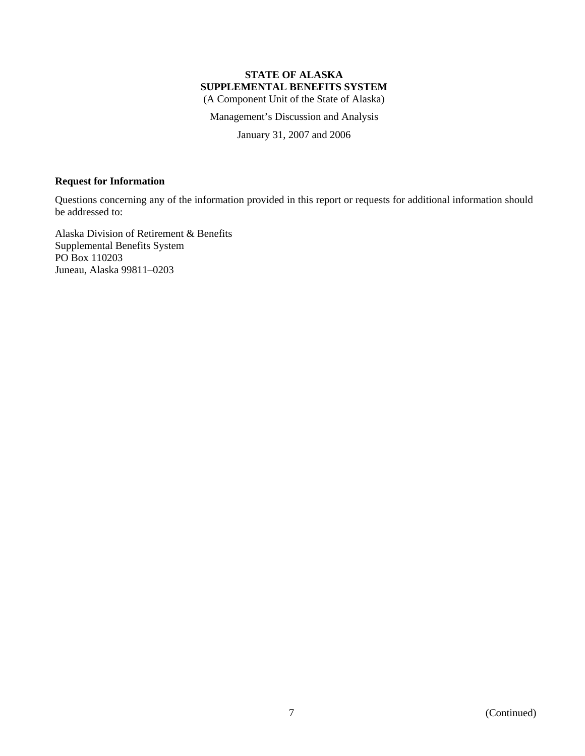Management's Discussion and Analysis

January 31, 2007 and 2006

# **Request for Information**

Questions concerning any of the information provided in this report or requests for additional information should be addressed to:

Alaska Division of Retirement & Benefits Supplemental Benefits System PO Box 110203 Juneau, Alaska 99811–0203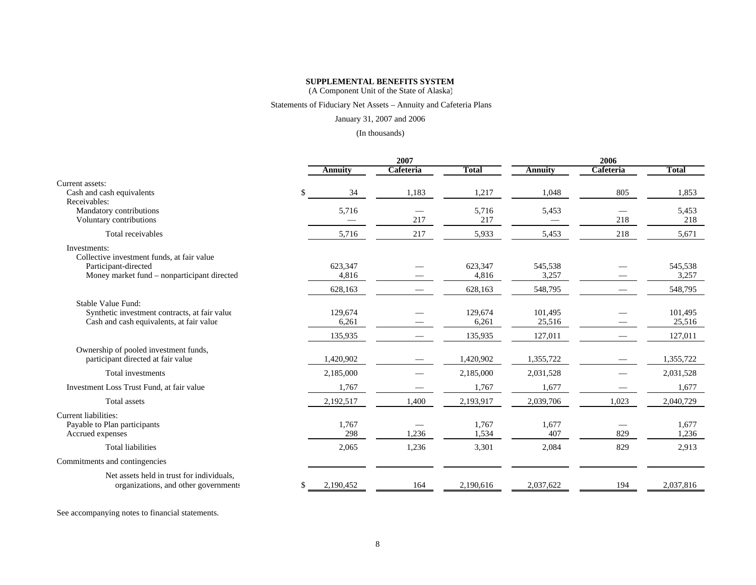### **SUPPLEMENTAL BENEFITS SYSTEM**

(A Component Unit of the State of Alaska)

#### Statements of Fiduciary Net Assets – Annuity and Cafeteria Plans

#### January 31, 2007 and 2006

#### (In thousands)

|                                                            |                 | 2007      |              |                | 2006      |              |  |
|------------------------------------------------------------|-----------------|-----------|--------------|----------------|-----------|--------------|--|
|                                                            | <b>Annuity</b>  | Cafeteria | <b>Total</b> | <b>Annuity</b> | Cafeteria | <b>Total</b> |  |
| Current assets:                                            |                 |           |              |                |           |              |  |
| Cash and cash equivalents                                  | \$<br>34        | 1,183     | 1,217        | 1,048          | 805       | 1,853        |  |
| Receivables:                                               |                 |           |              |                |           |              |  |
| Mandatory contributions                                    | 5,716           |           | 5,716        | 5,453          |           | 5,453        |  |
| Voluntary contributions                                    |                 | 217       | 217          |                | 218       | 218          |  |
| Total receivables                                          | 5,716           | 217       | 5,933        | 5,453          | 218       | 5,671        |  |
| Investments:<br>Collective investment funds, at fair value |                 |           |              |                |           |              |  |
| Participant-directed                                       | 623,347         |           | 623,347      | 545,538        |           | 545,538      |  |
| Money market fund – nonparticipant directed                | 4,816           |           | 4,816        | 3,257          |           | 3,257        |  |
|                                                            | 628,163         |           | 628,163      | 548,795        |           | 548,795      |  |
| Stable Value Fund:                                         |                 |           |              |                |           |              |  |
| Synthetic investment contracts, at fair value              | 129,674         |           | 129,674      | 101,495        |           | 101,495      |  |
| Cash and cash equivalents, at fair value                   | 6,261           |           | 6,261        | 25,516         |           | 25,516       |  |
|                                                            | 135,935         |           | 135,935      | 127,011        |           | 127,011      |  |
| Ownership of pooled investment funds,                      |                 |           |              |                |           |              |  |
| participant directed at fair value                         | 1,420,902       |           | 1,420,902    | 1,355,722      |           | 1,355,722    |  |
| Total investments                                          | 2,185,000       |           | 2,185,000    | 2,031,528      |           | 2,031,528    |  |
| Investment Loss Trust Fund, at fair value                  | 1,767           |           | 1,767        | 1,677          |           | 1,677        |  |
| <b>Total</b> assets                                        | 2,192,517       | 1,400     | 2,193,917    | 2,039,706      | 1,023     | 2,040,729    |  |
| Current liabilities:                                       |                 |           |              |                |           |              |  |
| Payable to Plan participants                               | 1,767           |           | 1,767        | 1,677          |           | 1,677        |  |
| Accrued expenses                                           | 298             | 1,236     | 1,534        | 407            | 829       | 1,236        |  |
| <b>Total liabilities</b>                                   | 2,065           | 1,236     | 3,301        | 2,084          | 829       | 2,913        |  |
| Commitments and contingencies                              |                 |           |              |                |           |              |  |
| Net assets held in trust for individuals,                  |                 |           |              |                |           |              |  |
| organizations, and other governments                       | \$<br>2,190,452 | 164       | 2,190,616    | 2,037,622      | 194       | 2,037,816    |  |

See accompanying notes to financial statements.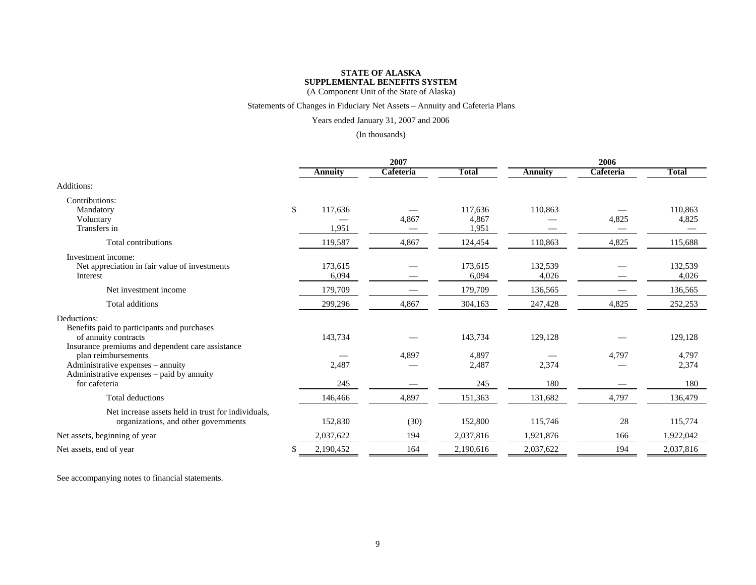# **STATE OF ALASKASUPPLEMENTAL BENEFITS SYSTEM**

(A Component Unit of the State of Alaska)

### Statements of Changes in Fiduciary Net Assets – Annuity and Cafeteria Plans

### Years ended January 31, 2007 and 2006

#### (In thousands)

|                                                                                                                                                                            |    |                  | 2007      |                       |                  | 2006      |                       |  |
|----------------------------------------------------------------------------------------------------------------------------------------------------------------------------|----|------------------|-----------|-----------------------|------------------|-----------|-----------------------|--|
|                                                                                                                                                                            |    | Annuity          | Cafeteria | <b>Total</b>          | <b>Annuity</b>   | Cafeteria | <b>Total</b>          |  |
| Additions:                                                                                                                                                                 |    |                  |           |                       |                  |           |                       |  |
| Contributions:<br>Mandatory<br>Voluntary                                                                                                                                   | \$ | 117,636          | 4,867     | 117,636<br>4,867      | 110,863          | 4,825     | 110,863<br>4,825      |  |
| Transfers in                                                                                                                                                               |    | 1,951            |           | 1,951                 |                  |           |                       |  |
| Total contributions                                                                                                                                                        |    | 119,587          | 4,867     | 124,454               | 110,863          | 4,825     | 115,688               |  |
| Investment income:<br>Net appreciation in fair value of investments<br>Interest                                                                                            |    | 173,615<br>6,094 |           | 173,615<br>6,094      | 132,539<br>4,026 |           | 132,539<br>4,026      |  |
| Net investment income                                                                                                                                                      |    | 179,709          |           | 179,709               | 136,565          |           | 136,565               |  |
| Total additions                                                                                                                                                            |    | 299,296          | 4,867     | 304,163               | 247,428          | 4,825     | 252,253               |  |
| Deductions:<br>Benefits paid to participants and purchases<br>of annuity contracts                                                                                         |    | 143,734          |           | 143,734               | 129,128          |           | 129,128               |  |
| Insurance premiums and dependent care assistance<br>plan reimbursements<br>Administrative expenses – annuity<br>Administrative expenses – paid by annuity<br>for cafeteria |    | 2,487<br>245     | 4,897     | 4,897<br>2,487<br>245 | 2,374<br>180     | 4,797     | 4,797<br>2,374<br>180 |  |
| Total deductions                                                                                                                                                           |    | 146,466          | 4,897     | 151,363               | 131,682          | 4,797     | 136,479               |  |
| Net increase assets held in trust for individuals,<br>organizations, and other governments                                                                                 |    | 152,830          | (30)      | 152,800               | 115,746          | 28        | 115,774               |  |
| Net assets, beginning of year                                                                                                                                              |    | 2,037,622        | 194       | 2,037,816             | 1,921,876        | 166       | 1,922,042             |  |
| Net assets, end of year                                                                                                                                                    | S  | 2,190,452        | 164       | 2,190,616             | 2,037,622        | 194       | 2,037,816             |  |

See accompanying notes to financial statements.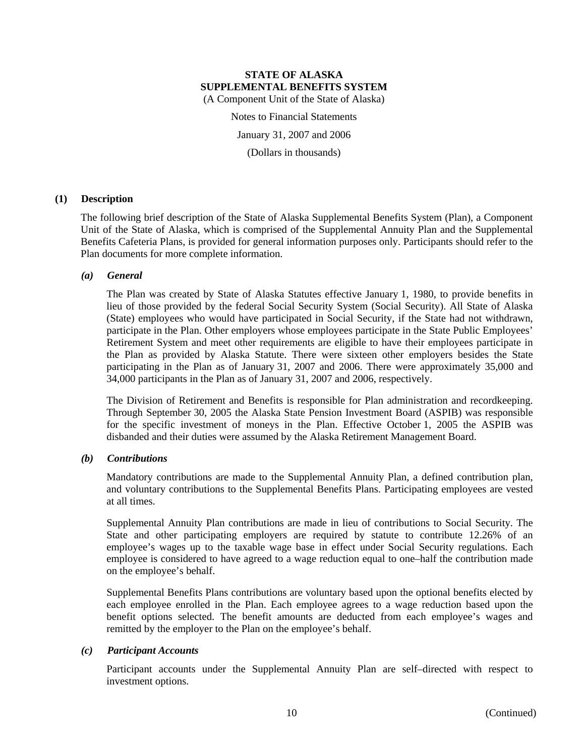Notes to Financial Statements

January 31, 2007 and 2006

(Dollars in thousands)

# **(1) Description**

The following brief description of the State of Alaska Supplemental Benefits System (Plan), a Component Unit of the State of Alaska, which is comprised of the Supplemental Annuity Plan and the Supplemental Benefits Cafeteria Plans, is provided for general information purposes only. Participants should refer to the Plan documents for more complete information.

# *(a) General*

The Plan was created by State of Alaska Statutes effective January 1, 1980, to provide benefits in lieu of those provided by the federal Social Security System (Social Security). All State of Alaska (State) employees who would have participated in Social Security, if the State had not withdrawn, participate in the Plan. Other employers whose employees participate in the State Public Employees' Retirement System and meet other requirements are eligible to have their employees participate in the Plan as provided by Alaska Statute. There were sixteen other employers besides the State participating in the Plan as of January 31, 2007 and 2006. There were approximately 35,000 and 34,000 participants in the Plan as of January 31, 2007 and 2006, respectively.

The Division of Retirement and Benefits is responsible for Plan administration and recordkeeping. Through September 30, 2005 the Alaska State Pension Investment Board (ASPIB) was responsible for the specific investment of moneys in the Plan. Effective October 1, 2005 the ASPIB was disbanded and their duties were assumed by the Alaska Retirement Management Board.

# *(b) Contributions*

Mandatory contributions are made to the Supplemental Annuity Plan, a defined contribution plan, and voluntary contributions to the Supplemental Benefits Plans. Participating employees are vested at all times.

Supplemental Annuity Plan contributions are made in lieu of contributions to Social Security. The State and other participating employers are required by statute to contribute 12.26% of an employee's wages up to the taxable wage base in effect under Social Security regulations. Each employee is considered to have agreed to a wage reduction equal to one–half the contribution made on the employee's behalf.

Supplemental Benefits Plans contributions are voluntary based upon the optional benefits elected by each employee enrolled in the Plan. Each employee agrees to a wage reduction based upon the benefit options selected. The benefit amounts are deducted from each employee's wages and remitted by the employer to the Plan on the employee's behalf.

# *(c) Participant Accounts*

Participant accounts under the Supplemental Annuity Plan are self–directed with respect to investment options.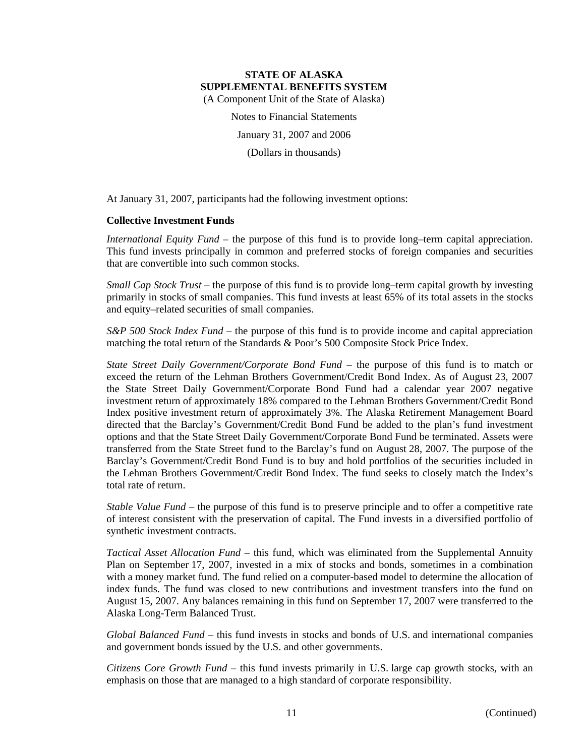Notes to Financial Statements

January 31, 2007 and 2006

(Dollars in thousands)

At January 31, 2007, participants had the following investment options:

# **Collective Investment Funds**

*International Equity Fund* – the purpose of this fund is to provide long–term capital appreciation. This fund invests principally in common and preferred stocks of foreign companies and securities that are convertible into such common stocks.

*Small Cap Stock Trust* – the purpose of this fund is to provide long–term capital growth by investing primarily in stocks of small companies. This fund invests at least 65% of its total assets in the stocks and equity–related securities of small companies.

*S&P 500 Stock Index Fund* – the purpose of this fund is to provide income and capital appreciation matching the total return of the Standards & Poor's 500 Composite Stock Price Index.

*State Street Daily Government/Corporate Bond Fund* – the purpose of this fund is to match or exceed the return of the Lehman Brothers Government/Credit Bond Index. As of August 23, 2007 the State Street Daily Government/Corporate Bond Fund had a calendar year 2007 negative investment return of approximately 18% compared to the Lehman Brothers Government/Credit Bond Index positive investment return of approximately 3%. The Alaska Retirement Management Board directed that the Barclay's Government/Credit Bond Fund be added to the plan's fund investment options and that the State Street Daily Government/Corporate Bond Fund be terminated. Assets were transferred from the State Street fund to the Barclay's fund on August 28, 2007. The purpose of the Barclay's Government/Credit Bond Fund is to buy and hold portfolios of the securities included in the Lehman Brothers Government/Credit Bond Index. The fund seeks to closely match the Index's total rate of return.

*Stable Value Fund* – the purpose of this fund is to preserve principle and to offer a competitive rate of interest consistent with the preservation of capital. The Fund invests in a diversified portfolio of synthetic investment contracts.

*Tactical Asset Allocation Fund* – this fund, which was eliminated from the Supplemental Annuity Plan on September 17, 2007, invested in a mix of stocks and bonds, sometimes in a combination with a money market fund. The fund relied on a computer-based model to determine the allocation of index funds. The fund was closed to new contributions and investment transfers into the fund on August 15, 2007. Any balances remaining in this fund on September 17, 2007 were transferred to the Alaska Long-Term Balanced Trust.

*Global Balanced Fund* – this fund invests in stocks and bonds of U.S. and international companies and government bonds issued by the U.S. and other governments.

*Citizens Core Growth Fund* – this fund invests primarily in U.S. large cap growth stocks, with an emphasis on those that are managed to a high standard of corporate responsibility.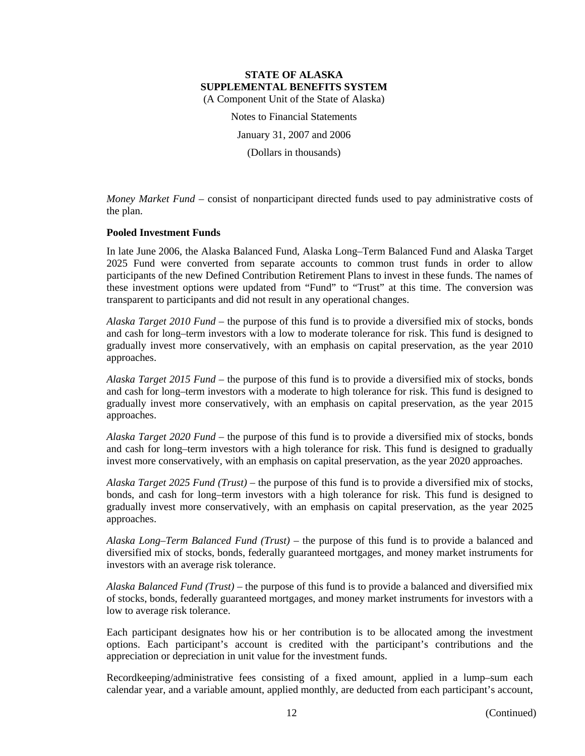Notes to Financial Statements January 31, 2007 and 2006

(Dollars in thousands)

*Money Market Fund* – consist of nonparticipant directed funds used to pay administrative costs of the plan.

# **Pooled Investment Funds**

In late June 2006, the Alaska Balanced Fund, Alaska Long–Term Balanced Fund and Alaska Target 2025 Fund were converted from separate accounts to common trust funds in order to allow participants of the new Defined Contribution Retirement Plans to invest in these funds. The names of these investment options were updated from "Fund" to "Trust" at this time. The conversion was transparent to participants and did not result in any operational changes.

*Alaska Target 2010 Fund* – the purpose of this fund is to provide a diversified mix of stocks, bonds and cash for long–term investors with a low to moderate tolerance for risk. This fund is designed to gradually invest more conservatively, with an emphasis on capital preservation, as the year 2010 approaches.

*Alaska Target 2015 Fund* – the purpose of this fund is to provide a diversified mix of stocks, bonds and cash for long–term investors with a moderate to high tolerance for risk. This fund is designed to gradually invest more conservatively, with an emphasis on capital preservation, as the year 2015 approaches.

*Alaska Target 2020 Fund* – the purpose of this fund is to provide a diversified mix of stocks, bonds and cash for long–term investors with a high tolerance for risk. This fund is designed to gradually invest more conservatively, with an emphasis on capital preservation, as the year 2020 approaches.

*Alaska Target 2025 Fund (Trust)* – the purpose of this fund is to provide a diversified mix of stocks, bonds, and cash for long–term investors with a high tolerance for risk. This fund is designed to gradually invest more conservatively, with an emphasis on capital preservation, as the year 2025 approaches.

*Alaska Long–Term Balanced Fund (Trust)* – the purpose of this fund is to provide a balanced and diversified mix of stocks, bonds, federally guaranteed mortgages, and money market instruments for investors with an average risk tolerance.

*Alaska Balanced Fund (Trust)* – the purpose of this fund is to provide a balanced and diversified mix of stocks, bonds, federally guaranteed mortgages, and money market instruments for investors with a low to average risk tolerance.

Each participant designates how his or her contribution is to be allocated among the investment options. Each participant's account is credited with the participant's contributions and the appreciation or depreciation in unit value for the investment funds.

Recordkeeping/administrative fees consisting of a fixed amount, applied in a lump–sum each calendar year, and a variable amount, applied monthly, are deducted from each participant's account,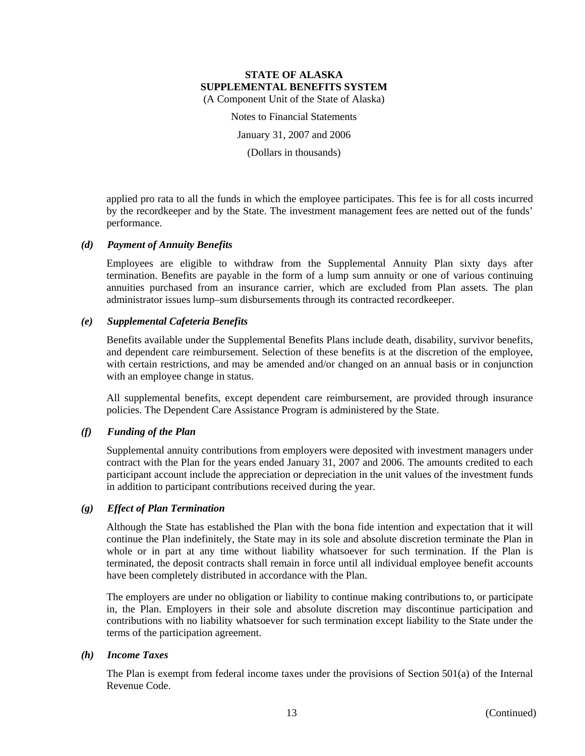Notes to Financial Statements

January 31, 2007 and 2006

(Dollars in thousands)

applied pro rata to all the funds in which the employee participates. This fee is for all costs incurred by the recordkeeper and by the State. The investment management fees are netted out of the funds' performance.

# *(d) Payment of Annuity Benefits*

Employees are eligible to withdraw from the Supplemental Annuity Plan sixty days after termination. Benefits are payable in the form of a lump sum annuity or one of various continuing annuities purchased from an insurance carrier, which are excluded from Plan assets. The plan administrator issues lump–sum disbursements through its contracted recordkeeper.

# *(e) Supplemental Cafeteria Benefits*

Benefits available under the Supplemental Benefits Plans include death, disability, survivor benefits, and dependent care reimbursement. Selection of these benefits is at the discretion of the employee, with certain restrictions, and may be amended and/or changed on an annual basis or in conjunction with an employee change in status.

All supplemental benefits, except dependent care reimbursement, are provided through insurance policies. The Dependent Care Assistance Program is administered by the State.

# *(f) Funding of the Plan*

Supplemental annuity contributions from employers were deposited with investment managers under contract with the Plan for the years ended January 31, 2007 and 2006. The amounts credited to each participant account include the appreciation or depreciation in the unit values of the investment funds in addition to participant contributions received during the year.

# *(g) Effect of Plan Termination*

Although the State has established the Plan with the bona fide intention and expectation that it will continue the Plan indefinitely, the State may in its sole and absolute discretion terminate the Plan in whole or in part at any time without liability whatsoever for such termination. If the Plan is terminated, the deposit contracts shall remain in force until all individual employee benefit accounts have been completely distributed in accordance with the Plan.

The employers are under no obligation or liability to continue making contributions to, or participate in, the Plan. Employers in their sole and absolute discretion may discontinue participation and contributions with no liability whatsoever for such termination except liability to the State under the terms of the participation agreement.

# *(h) Income Taxes*

The Plan is exempt from federal income taxes under the provisions of Section 501(a) of the Internal Revenue Code.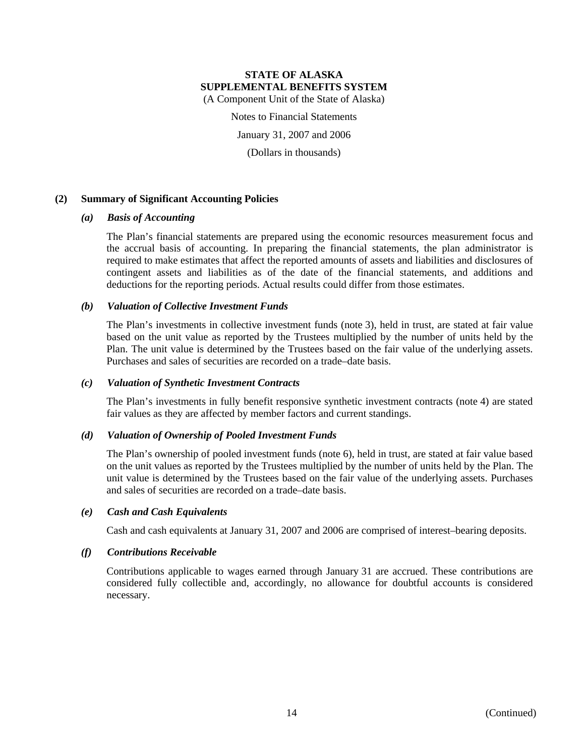Notes to Financial Statements

January 31, 2007 and 2006

(Dollars in thousands)

# **(2) Summary of Significant Accounting Policies**

# *(a) Basis of Accounting*

The Plan's financial statements are prepared using the economic resources measurement focus and the accrual basis of accounting. In preparing the financial statements, the plan administrator is required to make estimates that affect the reported amounts of assets and liabilities and disclosures of contingent assets and liabilities as of the date of the financial statements, and additions and deductions for the reporting periods. Actual results could differ from those estimates.

# *(b) Valuation of Collective Investment Funds*

The Plan's investments in collective investment funds (note 3), held in trust, are stated at fair value based on the unit value as reported by the Trustees multiplied by the number of units held by the Plan. The unit value is determined by the Trustees based on the fair value of the underlying assets. Purchases and sales of securities are recorded on a trade–date basis.

#### *(c) Valuation of Synthetic Investment Contracts*

The Plan's investments in fully benefit responsive synthetic investment contracts (note 4) are stated fair values as they are affected by member factors and current standings.

# *(d) Valuation of Ownership of Pooled Investment Funds*

The Plan's ownership of pooled investment funds (note 6), held in trust, are stated at fair value based on the unit values as reported by the Trustees multiplied by the number of units held by the Plan. The unit value is determined by the Trustees based on the fair value of the underlying assets. Purchases and sales of securities are recorded on a trade–date basis.

#### *(e) Cash and Cash Equivalents*

Cash and cash equivalents at January 31, 2007 and 2006 are comprised of interest–bearing deposits.

#### *(f) Contributions Receivable*

Contributions applicable to wages earned through January 31 are accrued. These contributions are considered fully collectible and, accordingly, no allowance for doubtful accounts is considered necessary.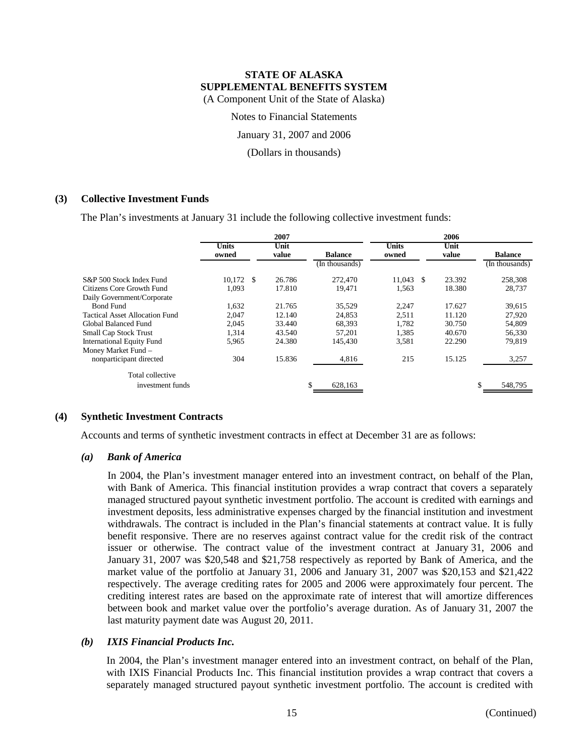Notes to Financial Statements

January 31, 2007 and 2006

(Dollars in thousands)

# **(3) Collective Investment Funds**

The Plan's investments at January 31 include the following collective investment funds:

|                                |                       | 2007          |                | 2006                  |               |                |  |  |
|--------------------------------|-----------------------|---------------|----------------|-----------------------|---------------|----------------|--|--|
|                                | <b>Units</b><br>owned | Unit<br>value | <b>Balance</b> | <b>Units</b><br>owned | Unit<br>value | <b>Balance</b> |  |  |
|                                |                       |               | (In thousands) |                       |               | (In thousands) |  |  |
| S&P 500 Stock Index Fund       | 10.172 \$             | 26.786        | 272,470        | 11.043<br>- \$        | 23.392        | 258,308        |  |  |
| Citizens Core Growth Fund      | 1,093                 | 17.810        | 19.471         | 1,563                 | 18.380        | 28,737         |  |  |
| Daily Government/Corporate     |                       |               |                |                       |               |                |  |  |
| <b>Bond Fund</b>               | 1,632                 | 21.765        | 35,529         | 2,247                 | 17.627        | 39,615         |  |  |
| Tactical Asset Allocation Fund | 2,047                 | 12.140        | 24,853         | 2,511                 | 11.120        | 27,920         |  |  |
| Global Balanced Fund           | 2,045                 | 33.440        | 68,393         | 1.782                 | 30.750        | 54,809         |  |  |
| <b>Small Cap Stock Trust</b>   | 1.314                 | 43.540        | 57,201         | 1.385                 | 40.670        | 56,330         |  |  |
| International Equity Fund      | 5,965                 | 24.380        | 145.430        | 3,581                 | 22.290        | 79,819         |  |  |
| Money Market Fund -            |                       |               |                |                       |               |                |  |  |
| nonparticipant directed        | 304                   | 15.836        | 4,816          | 215                   | 15.125        | 3,257          |  |  |
| Total collective               |                       |               |                |                       |               |                |  |  |
| investment funds               |                       |               | 628,163        |                       |               | \$<br>548,795  |  |  |

# **(4) Synthetic Investment Contracts**

Accounts and terms of synthetic investment contracts in effect at December 31 are as follows:

#### *(a) Bank of America*

In 2004, the Plan's investment manager entered into an investment contract, on behalf of the Plan, with Bank of America. This financial institution provides a wrap contract that covers a separately managed structured payout synthetic investment portfolio. The account is credited with earnings and investment deposits, less administrative expenses charged by the financial institution and investment withdrawals. The contract is included in the Plan's financial statements at contract value. It is fully benefit responsive. There are no reserves against contract value for the credit risk of the contract issuer or otherwise. The contract value of the investment contract at January 31, 2006 and January 31, 2007 was \$20,548 and \$21,758 respectively as reported by Bank of America, and the market value of the portfolio at January 31, 2006 and January 31, 2007 was \$20,153 and \$21,422 respectively. The average crediting rates for 2005 and 2006 were approximately four percent. The crediting interest rates are based on the approximate rate of interest that will amortize differences between book and market value over the portfolio's average duration. As of January 31, 2007 the last maturity payment date was August 20, 2011.

# *(b) IXIS Financial Products Inc.*

In 2004, the Plan's investment manager entered into an investment contract, on behalf of the Plan, with IXIS Financial Products Inc. This financial institution provides a wrap contract that covers a separately managed structured payout synthetic investment portfolio. The account is credited with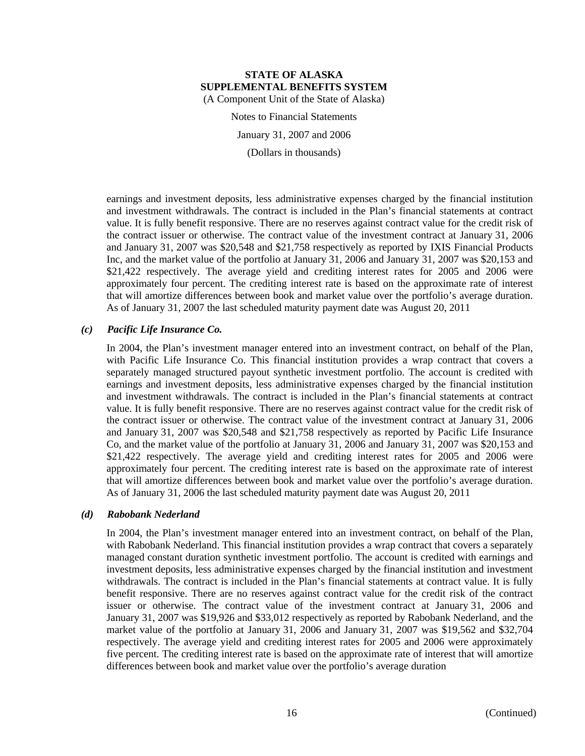Notes to Financial Statements January 31, 2007 and 2006 (Dollars in thousands)

earnings and investment deposits, less administrative expenses charged by the financial institution and investment withdrawals. The contract is included in the Plan's financial statements at contract value. It is fully benefit responsive. There are no reserves against contract value for the credit risk of the contract issuer or otherwise. The contract value of the investment contract at January 31, 2006 and January 31, 2007 was \$20,548 and \$21,758 respectively as reported by IXIS Financial Products Inc, and the market value of the portfolio at January 31, 2006 and January 31, 2007 was \$20,153 and \$21,422 respectively. The average yield and crediting interest rates for 2005 and 2006 were approximately four percent. The crediting interest rate is based on the approximate rate of interest that will amortize differences between book and market value over the portfolio's average duration. As of January 31, 2007 the last scheduled maturity payment date was August 20, 2011

# *(c) Pacific Life Insurance Co.*

In 2004, the Plan's investment manager entered into an investment contract, on behalf of the Plan, with Pacific Life Insurance Co. This financial institution provides a wrap contract that covers a separately managed structured payout synthetic investment portfolio. The account is credited with earnings and investment deposits, less administrative expenses charged by the financial institution and investment withdrawals. The contract is included in the Plan's financial statements at contract value. It is fully benefit responsive. There are no reserves against contract value for the credit risk of the contract issuer or otherwise. The contract value of the investment contract at January 31, 2006 and January 31, 2007 was \$20,548 and \$21,758 respectively as reported by Pacific Life Insurance Co, and the market value of the portfolio at January 31, 2006 and January 31, 2007 was \$20,153 and \$21,422 respectively. The average yield and crediting interest rates for 2005 and 2006 were approximately four percent. The crediting interest rate is based on the approximate rate of interest that will amortize differences between book and market value over the portfolio's average duration. As of January 31, 2006 the last scheduled maturity payment date was August 20, 2011

#### *(d) Rabobank Nederland*

In 2004, the Plan's investment manager entered into an investment contract, on behalf of the Plan, with Rabobank Nederland. This financial institution provides a wrap contract that covers a separately managed constant duration synthetic investment portfolio. The account is credited with earnings and investment deposits, less administrative expenses charged by the financial institution and investment withdrawals. The contract is included in the Plan's financial statements at contract value. It is fully benefit responsive. There are no reserves against contract value for the credit risk of the contract issuer or otherwise. The contract value of the investment contract at January 31, 2006 and January 31, 2007 was \$19,926 and \$33,012 respectively as reported by Rabobank Nederland, and the market value of the portfolio at January 31, 2006 and January 31, 2007 was \$19,562 and \$32,704 respectively. The average yield and crediting interest rates for 2005 and 2006 were approximately five percent. The crediting interest rate is based on the approximate rate of interest that will amortize differences between book and market value over the portfolio's average duration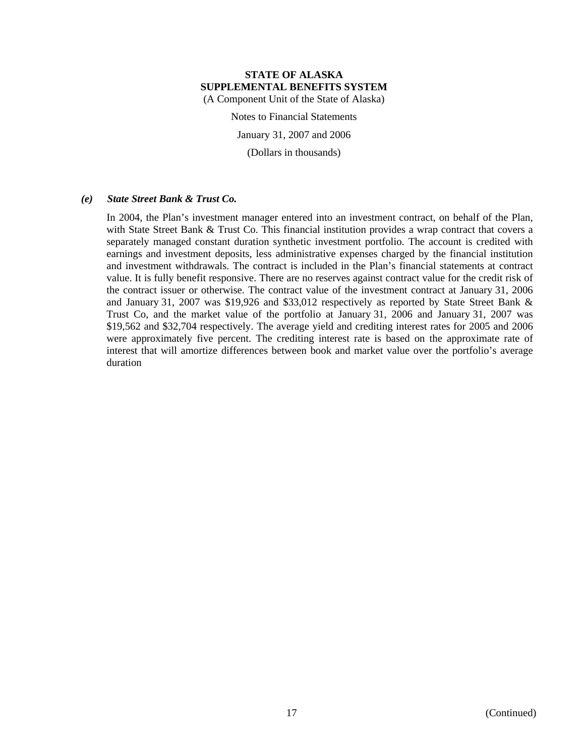Notes to Financial Statements

January 31, 2007 and 2006

(Dollars in thousands)

#### *(e) State Street Bank & Trust Co.*

In 2004, the Plan's investment manager entered into an investment contract, on behalf of the Plan, with State Street Bank & Trust Co. This financial institution provides a wrap contract that covers a separately managed constant duration synthetic investment portfolio. The account is credited with earnings and investment deposits, less administrative expenses charged by the financial institution and investment withdrawals. The contract is included in the Plan's financial statements at contract value. It is fully benefit responsive. There are no reserves against contract value for the credit risk of the contract issuer or otherwise. The contract value of the investment contract at January 31, 2006 and January 31, 2007 was \$19,926 and \$33,012 respectively as reported by State Street Bank & Trust Co, and the market value of the portfolio at January 31, 2006 and January 31, 2007 was \$19,562 and \$32,704 respectively. The average yield and crediting interest rates for 2005 and 2006 were approximately five percent. The crediting interest rate is based on the approximate rate of interest that will amortize differences between book and market value over the portfolio's average duration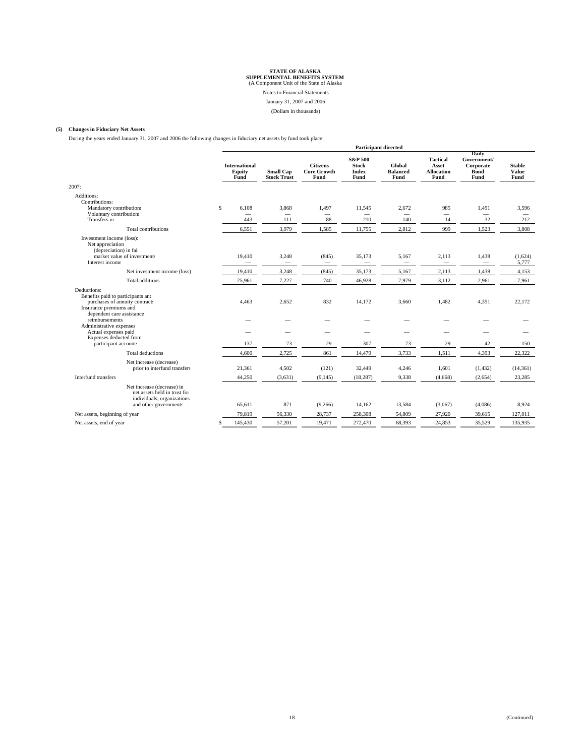Notes to Financial Statements

#### January 31, 2007 and 2006

(Dollars in thousands)

#### **(5) Changes in Fiduciary Net Assets**

During the years ended January 31, 2007 and 2006 the following changes in fiduciary net assets by fund took place:

| During the years ended January 31, 2007 and 2006 the following changes in fiduciary net assets by fund took place:                        |                                                |                                        |                                               | <b>Participant directed</b>                                |                                          |                                                       |                                                          |                                          |
|-------------------------------------------------------------------------------------------------------------------------------------------|------------------------------------------------|----------------------------------------|-----------------------------------------------|------------------------------------------------------------|------------------------------------------|-------------------------------------------------------|----------------------------------------------------------|------------------------------------------|
|                                                                                                                                           | <b>International</b><br>Equity<br>Fund         | <b>Small Cap</b><br><b>Stock Trust</b> | <b>Citizens</b><br><b>Core Growth</b><br>Fund | <b>S&amp;P 500</b><br><b>Stock</b><br><b>Index</b><br>Fund | Global<br><b>Balanced</b><br>Fund        | <b>Tactical</b><br>Asset<br><b>Allocation</b><br>Fund | Daily<br>Government/<br>Corporate<br><b>Bond</b><br>Fund | <b>Stable</b><br><b>Value</b><br>Fund    |
| 2007:                                                                                                                                     |                                                |                                        |                                               |                                                            |                                          |                                                       |                                                          |                                          |
| Additions:<br>Contributions:<br>Mandatory contribution:<br>Voluntary contribution:<br>Transfers in                                        | \$<br>6,108<br>$\overline{\phantom{0}}$<br>443 | 3,868<br>$\qquad \qquad -$<br>111      | 1,497<br>$\overline{\phantom{0}}$<br>88       | 11,545<br>$\overline{\phantom{0}}$<br>210                  | 2,672<br>$\overline{\phantom{0}}$<br>140 | 985<br>14                                             | 1,491<br>$\overline{\phantom{0}}$<br>32                  | 3,596<br>$\overline{\phantom{0}}$<br>212 |
| <b>Total contributions</b>                                                                                                                | 6,551                                          | 3,979                                  | 1,585                                         | 11,755                                                     | 2,812                                    | 999                                                   | 1,523                                                    | 3,808                                    |
| Investment income (loss):<br>Net appreciation<br>(depreciation) in fair<br>market value of investments<br>Interest income                 | 19,410                                         | 3,248<br>$\overline{\phantom{0}}$      | (845)<br>$\overline{\phantom{m}}$             | 35,173                                                     | 5,167                                    | 2,113                                                 | 1,438                                                    | (1,624)<br>5,777                         |
| Net investment income (loss)                                                                                                              | 19,410                                         | 3,248                                  | (845)                                         | 35,173                                                     | 5,167                                    | 2,113                                                 | 1,438                                                    | 4,153                                    |
| <b>Total additions</b>                                                                                                                    | 25,961                                         | 7,227                                  | 740                                           | 46,928                                                     | 7,979                                    | 3,112                                                 | 2,961                                                    | 7,961                                    |
| Deductions:<br>Benefits paid to participants and<br>purchases of annuity contracts<br>Insurance premiums and<br>dependent care assistance | 4,463                                          | 2,652                                  | 832                                           | 14,172                                                     | 3,660                                    | 1,482                                                 | 4,351                                                    | 22,172                                   |
| reimbursements                                                                                                                            |                                                |                                        |                                               |                                                            |                                          |                                                       |                                                          |                                          |
| Administrative expenses<br>Actual expenses paid<br>Expenses deducted from<br>participant accounts                                         | 137                                            | 73                                     | 29                                            | 307                                                        | 73                                       | 29                                                    | 42                                                       | 150                                      |
| <b>Total deductions</b>                                                                                                                   | 4,600                                          | 2,725                                  | 861                                           | 14,479                                                     | 3,733                                    | 1,511                                                 | 4,393                                                    | 22,322                                   |
| Net increase (decrease)<br>prior to interfund transfers                                                                                   | 21,361                                         | 4,502                                  | (121)                                         | 32,449                                                     | 4,246                                    | 1,601                                                 | (1, 432)                                                 | (14, 361)                                |
| Interfund transfers                                                                                                                       | 44,250                                         | (3,631)                                | (9, 145)                                      | (18, 287)                                                  | 9,338                                    | (4,668)                                               | (2,654)                                                  | 23,285                                   |
| Net increase (decrease) in<br>net assets held in trust for<br>individuals, organizations<br>and other governments                         | 65,611                                         | 871                                    | (9,266)                                       | 14,162                                                     | 13,584                                   | (3,067)                                               | (4,086)                                                  | 8,924                                    |
| Net assets, beginning of year                                                                                                             | 79,819                                         | 56,330                                 | 28,737                                        | 258,308                                                    | 54,809                                   | 27,920                                                | 39,615                                                   | 127,011                                  |
| Net assets, end of year                                                                                                                   | 145,430<br>\$                                  | 57,201                                 | 19,471                                        | 272,470                                                    | 68,393                                   | 24,853                                                | 35,529                                                   | 135,935                                  |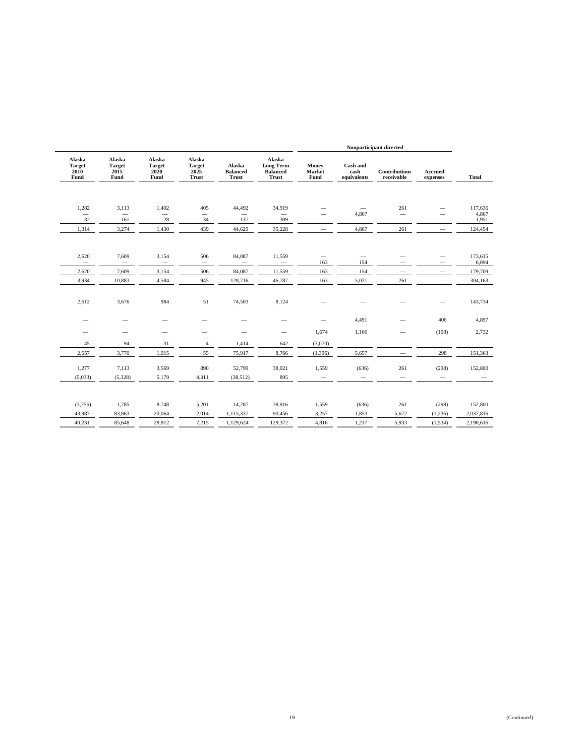|                                         |                                         |                                         |                                                 |                                    |                                                               | Nonparticipant directed         |                                 |                                    |                          |                  |
|-----------------------------------------|-----------------------------------------|-----------------------------------------|-------------------------------------------------|------------------------------------|---------------------------------------------------------------|---------------------------------|---------------------------------|------------------------------------|--------------------------|------------------|
| Alaska<br><b>Target</b><br>2010<br>Fund | Alaska<br><b>Target</b><br>2015<br>Fund | Alaska<br><b>Target</b><br>2020<br>Fund | Alaska<br><b>Target</b><br>2025<br><b>Trust</b> | Alaska<br><b>Balanced</b><br>Trust | Alaska<br><b>Long Term</b><br><b>Balanced</b><br><b>Trust</b> | Money<br>Market<br>Fund         | Cash and<br>cash<br>equivalents | <b>Contributions</b><br>receivable | Accrued<br>expenses      | <b>Total</b>     |
| 1,282<br>$\overline{\phantom{0}}$       | 3,113<br>$\overline{\phantom{0}}$       | 1,402                                   | 405<br>$\qquad \qquad$                          | 44,492                             | 34,919                                                        | $\overline{\phantom{0}}$        | 4,867                           | 261<br>$\overline{\phantom{m}}$    | $\overline{\phantom{0}}$ | 117,636<br>4,867 |
| 32                                      | 161                                     | 28                                      | 34                                              | 137                                | 309                                                           | —                               | $\overline{\phantom{m}}$        |                                    |                          | 1,951            |
| 1,314                                   | 3,274                                   | 1,430                                   | 439                                             | 44,629                             | 35,228                                                        | $\qquad \qquad$                 | 4,867                           | 261                                | $\overline{\phantom{m}}$ | 124,454          |
| 2,620<br>$\overline{\phantom{0}}$       | 7,609                                   | 3,154<br>$\overline{\phantom{0}}$       | 506                                             | 84,087                             | 11,559<br>$\overline{\phantom{0}}$                            | $\overline{\phantom{0}}$<br>163 | $\overline{\phantom{m}}$<br>154 | -                                  | $\overline{\phantom{0}}$ | 173,615<br>6,094 |
| 2,620                                   | 7,609                                   | 3,154                                   | 506                                             | 84,087                             | 11,559                                                        | 163                             | 154                             | $\overline{\phantom{0}}$           | $\qquad \qquad$          | 179,709          |
| 3,934                                   | 10,883                                  | 4,584                                   | 945                                             | 128,716                            | 46,787                                                        | 163                             | 5,021                           | 261                                |                          | 304,163          |
| 2,612                                   | 3,676                                   | 984                                     | 51                                              | 74,503                             | 8,124                                                         |                                 |                                 |                                    |                          | 143,734          |
|                                         | -                                       | -                                       |                                                 | $\overline{\phantom{a}}$           |                                                               |                                 | 4,491                           | $\overline{\phantom{0}}$           | 406                      | 4,897            |
| -                                       | $\overline{\phantom{0}}$                | $\overline{\phantom{0}}$                | $\overline{\phantom{0}}$                        | $\overline{\phantom{a}}$           | $\qquad \qquad$                                               | 1,674                           | 1,166                           | -                                  | (108)                    | 2,732            |
| 45                                      | 94                                      | 31                                      | $\overline{4}$                                  | 1,414                              | 642                                                           | (3,070)                         |                                 | $\overline{\phantom{0}}$           | $\qquad \qquad$          |                  |
| 2,657                                   | 3,770                                   | 1,015                                   | 55                                              | 75,917                             | 8,766                                                         | (1, 396)                        | 5,657                           |                                    | 298                      | 151,363          |
| 1,277                                   | 7,113                                   | 3,569                                   | 890                                             | 52,799                             | 38,021                                                        | 1,559                           | (636)                           | 261                                | (298)                    | 152,800          |
| (5,033)                                 | (5,328)                                 | 5,179                                   | 4,311                                           | (38,512)                           | 895                                                           |                                 |                                 |                                    |                          |                  |
| (3,756)                                 | 1,785                                   | 8,748                                   | 5,201                                           | 14,287                             | 38,916                                                        | 1,559                           | (636)                           | 261                                | (298)                    | 152,800          |
| 43,987                                  | 83,863                                  | 20,064                                  | 2,014                                           | 1,115,337                          | 90,456                                                        | 3,257                           | 1,853                           | 5,672                              | (1,236)                  | 2,037,816        |
| 40,231                                  | 85,648                                  | 28,812                                  | 7,215                                           | 1,129,624                          | 129,372                                                       | 4,816                           | 1,217                           | 5,933                              | (1, 534)                 | 2,190,616        |
|                                         |                                         |                                         |                                                 |                                    |                                                               |                                 |                                 |                                    |                          |                  |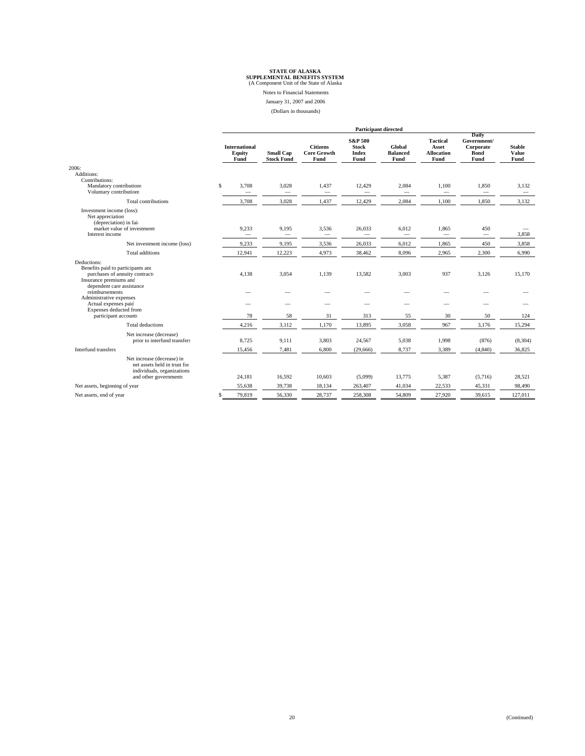Notes to Financial Statements

January 31, 2007 and 2006

(Dollars in thousands)

|                                                                                                                                           |                                        |                                       |                                               | <b>Participant directed</b>                                |                                   |                                                       |                                                          |                                       |
|-------------------------------------------------------------------------------------------------------------------------------------------|----------------------------------------|---------------------------------------|-----------------------------------------------|------------------------------------------------------------|-----------------------------------|-------------------------------------------------------|----------------------------------------------------------|---------------------------------------|
|                                                                                                                                           | <b>International</b><br>Equity<br>Fund | <b>Small Cap</b><br><b>Stock Fund</b> | <b>Citizens</b><br><b>Core Growth</b><br>Fund | <b>S&amp;P 500</b><br><b>Stock</b><br><b>Index</b><br>Fund | Global<br><b>Balanced</b><br>Fund | <b>Tactical</b><br>Asset<br><b>Allocation</b><br>Fund | Daily<br>Government/<br>Corporate<br><b>Bond</b><br>Fund | <b>Stable</b><br><b>Value</b><br>Fund |
| 2006:                                                                                                                                     |                                        |                                       |                                               |                                                            |                                   |                                                       |                                                          |                                       |
| Additions:<br>Contributions:<br>Mandatory contribution:<br>Voluntary contribution:                                                        | S.<br>3,708                            | 3,028                                 | 1,437<br>$\overline{\phantom{m}}$             | 12,429<br>—                                                | 2,084<br>$\hspace{0.05cm}$        | 1,100<br>$\overline{\phantom{m}}$                     | 1,850<br>-                                               | 3,132<br>$\overline{\phantom{0}}$     |
| Total contributions                                                                                                                       | 3,708                                  | 3,028                                 | 1,437                                         | 12,429                                                     | 2,084                             | 1,100                                                 | 1,850                                                    | 3,132                                 |
| Investment income (loss):<br>Net appreciation<br>(depreciation) in fair<br>market value of investments<br>Interest income                 | 9,233<br>$\overline{\phantom{0}}$      | 9,195<br>$\qquad \qquad$              | 3,536<br>$\overline{\phantom{m}}$             | 26,033<br>$\overline{\phantom{0}}$                         | 6,012                             | 1,865                                                 | 450<br>$\qquad \qquad$                                   | 3.858                                 |
| Net investment income (loss)                                                                                                              | 9,233                                  | 9,195                                 | 3,536                                         | 26,033                                                     | 6,012                             | 1,865                                                 | 450                                                      | 3.858                                 |
| <b>Total additions</b>                                                                                                                    | 12,941                                 | 12,223                                | 4,973                                         | 38,462                                                     | 8,096                             | 2,965                                                 | 2,300                                                    | 6,990                                 |
| Deductions:<br>Benefits paid to participants and<br>purchases of annuity contracts<br>Insurance premiums and<br>dependent care assistance | 4,138                                  | 3,054                                 | 1,139                                         | 13,582                                                     | 3,003                             | 937                                                   | 3,126                                                    | 15,170                                |
| reimbursements<br>Administrative expenses<br>Actual expenses paid<br>Expenses deducted from                                               |                                        |                                       |                                               |                                                            |                                   |                                                       |                                                          |                                       |
| participant accounts                                                                                                                      | 78                                     | 58                                    | 31                                            | 313                                                        | 55                                | 30                                                    | 50                                                       | 124                                   |
| <b>Total deductions</b>                                                                                                                   | 4,216                                  | 3,112                                 | 1,170                                         | 13,895                                                     | 3,058                             | 967                                                   | 3,176                                                    | 15,294                                |
| Net increase (decrease)<br>prior to interfund transfers                                                                                   | 8.725                                  | 9.111                                 | 3,803                                         | 24,567                                                     | 5,038                             | 1,998                                                 | (876)                                                    | (8, 304)                              |
| Interfund transfers                                                                                                                       | 15,456                                 | 7,481                                 | 6,800                                         | (29,666)                                                   | 8,737                             | 3,389                                                 | (4, 840)                                                 | 36,825                                |
| Net increase (decrease) in<br>net assets held in trust for<br>individuals, organizations<br>and other governments                         | 24,181                                 | 16,592                                | 10,603                                        | (5,099)                                                    | 13.775                            | 5,387                                                 | (5,716)                                                  | 28.521                                |
| Net assets, beginning of year                                                                                                             | 55.638                                 | 39,738                                | 18,134                                        | 263,407                                                    | 41,034                            | 22,533                                                | 45,331                                                   | 98.490                                |
| Net assets, end of year                                                                                                                   | 79,819<br>\$                           | 56,330                                | 28,737                                        | 258,308                                                    | 54,809                            | 27,920                                                | 39,615                                                   | 127,011                               |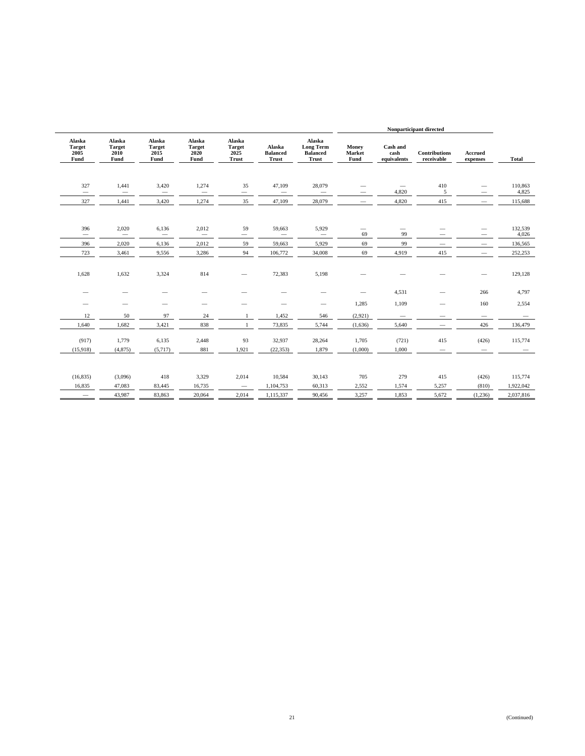|                          |                                             | Nonparticipant directed            |                                 |                          |                                                        |                                    |                                          |                                         |                                         |                                         |                                         |
|--------------------------|---------------------------------------------|------------------------------------|---------------------------------|--------------------------|--------------------------------------------------------|------------------------------------|------------------------------------------|-----------------------------------------|-----------------------------------------|-----------------------------------------|-----------------------------------------|
| <b>Total</b>             | Accrued<br>expenses                         | <b>Contributions</b><br>receivable | Cash and<br>cash<br>equivalents | Money<br>Market<br>Fund  | Alaska<br><b>Long Term</b><br><b>Balanced</b><br>Trust | Alaska<br><b>Balanced</b><br>Trust | Alaska<br><b>Target</b><br>2025<br>Trust | Alaska<br><b>Target</b><br>2020<br>Fund | Alaska<br><b>Target</b><br>2015<br>Fund | Alaska<br><b>Target</b><br>2010<br>Fund | Alaska<br><b>Target</b><br>2005<br>Fund |
|                          |                                             |                                    |                                 |                          |                                                        |                                    |                                          |                                         |                                         |                                         |                                         |
| 110,863<br>4,825         | $\overline{\phantom{0}}$<br>$\qquad \qquad$ | 410<br>5                           | 4,820                           | -<br>$\hspace{0.05cm}$   | 28,079<br>$\overline{\phantom{m}}$                     | 47,109<br>$\overline{\phantom{m}}$ | 35<br>$\overline{\phantom{m}}$           | 1,274<br>$\overline{\phantom{m}}$       | 3,420<br>$\overline{\phantom{m}}$       | 1,441<br>$\overline{\phantom{m}}$       | 327<br>$\overline{\phantom{m}}$         |
| 115,688                  | $\overline{\phantom{0}}$                    | 415                                | 4,820                           | $\overline{\phantom{m}}$ | 28,079                                                 | 47,109                             | 35                                       | 1,274                                   | 3,420                                   | 1,441                                   | 327                                     |
|                          |                                             |                                    |                                 |                          |                                                        |                                    |                                          |                                         |                                         |                                         |                                         |
| 132,539<br>4,026         |                                             |                                    | $\overline{\phantom{0}}$<br>99  | $\qquad \qquad$<br>69    | 5,929<br>$\overline{\phantom{0}}$                      | 59,663<br>$\overline{\phantom{a}}$ | 59<br>$\overline{\phantom{0}}$           | 2,012<br>$\overline{\phantom{m}}$       | 6,136                                   | 2,020                                   | 396<br>$\overline{\phantom{0}}$         |
| 136,565                  | $\overline{\phantom{0}}$                    |                                    | 99                              | 69                       | 5,929                                                  | 59,663                             | 59                                       | 2,012                                   | 6,136                                   | 2,020                                   | 396                                     |
| 252,253                  | $\overline{\phantom{0}}$                    | 415                                | 4,919                           | 69                       | 34,008                                                 | 106,772                            | 94                                       | 3,286                                   | 9,556                                   | 3,461                                   | 723                                     |
| 129,128                  |                                             |                                    |                                 |                          | 5,198                                                  | 72,383                             | $\hspace{0.05cm}$                        | 814                                     | 3,324                                   | 1,632                                   | 1,628                                   |
| 4,797                    | 266                                         |                                    | 4,531                           |                          |                                                        |                                    |                                          |                                         |                                         |                                         |                                         |
| 2,554                    | 160                                         | $\overline{\phantom{0}}$           | 1,109                           | 1,285                    | $\qquad \qquad$                                        | $\overline{\phantom{0}}$           |                                          | —                                       | $\overline{\phantom{0}}$                | -                                       |                                         |
| $\overline{\phantom{m}}$ |                                             |                                    |                                 | (2,921)                  | 546                                                    | 1,452                              | $\mathbf{1}$                             | 24                                      | 97                                      | 50                                      | 12                                      |
| 136,479                  | 426                                         |                                    | 5,640                           | (1,636)                  | 5,744                                                  | 73,835                             | $\mathbf{1}$                             | 838                                     | 3,421                                   | 1,682                                   | 1,640                                   |
| 115,774                  | (426)                                       | 415                                | (721)                           | 1,705                    | 28,264                                                 | 32,937                             | 93                                       | 2,448                                   | 6,135                                   | 1,779                                   | (917)                                   |
|                          | $\overline{\phantom{m}}$                    |                                    | 1,000                           | (1,000)                  | 1,879                                                  | (22, 353)                          | 1,921                                    | 881                                     | (5,717)                                 | (4, 875)                                | (15,918)                                |
|                          |                                             |                                    |                                 |                          |                                                        |                                    |                                          |                                         |                                         |                                         |                                         |
| 115,774                  | (426)                                       | 415                                | 279                             | 705                      | 30,143                                                 | 10,584                             | 2,014                                    | 3,329                                   | 418                                     | (3,096)                                 | (16,835)                                |
| 1,922,042                | (810)                                       | 5,257                              | 1,574                           | 2,552                    | 60,313                                                 | 1,104,753                          | $\overline{\phantom{m}}$                 | 16,735                                  | 83,445                                  | 47,083                                  | 16,835                                  |
| 2,037,816                | (1,236)                                     | 5,672                              | 1,853                           | 3,257                    | 90,456                                                 | 1,115,337                          | 2,014                                    | 20,064                                  | 83,863                                  | 43,987                                  | $\overline{\phantom{m}}$                |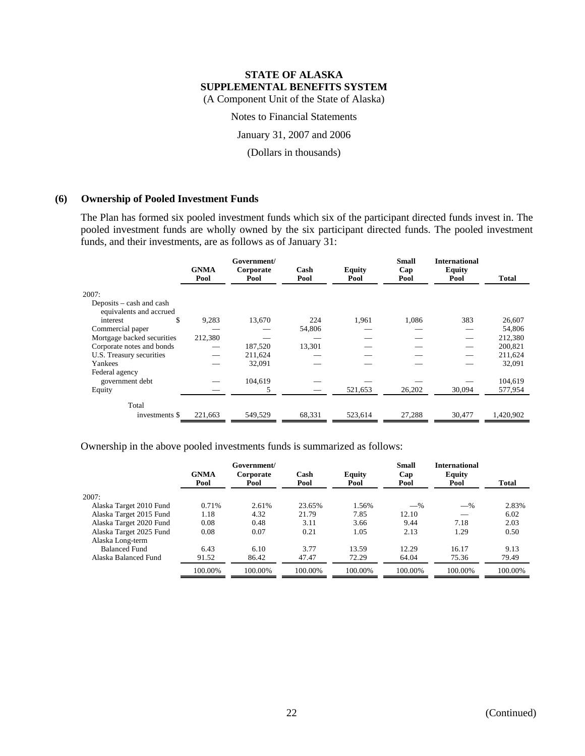# **STATE OF ALASKA SUPPLEMENTAL BENEFITS SYSTEM**

(A Component Unit of the State of Alaska)

Notes to Financial Statements

January 31, 2007 and 2006

(Dollars in thousands)

### **(6) Ownership of Pooled Investment Funds**

The Plan has formed six pooled investment funds which six of the participant directed funds invest in. The pooled investment funds are wholly owned by the six participant directed funds. The pooled investment funds, and their investments, are as follows as of January 31:

|                                                     | <b>GNMA</b><br>Pool | Government/<br>Corporate<br>Pool | Cash<br>Pool | <b>Equity</b><br>Pool | <b>Small</b><br>Cap<br>Pool | <b>International</b><br><b>Equity</b><br>Pool | Total     |
|-----------------------------------------------------|---------------------|----------------------------------|--------------|-----------------------|-----------------------------|-----------------------------------------------|-----------|
| 2007:                                               |                     |                                  |              |                       |                             |                                               |           |
| Deposits – cash and cash<br>equivalents and accrued |                     |                                  |              |                       |                             |                                               |           |
| \$<br>interest                                      | 9,283               | 13,670                           | 224          | 1,961                 | 1,086                       | 383                                           | 26,607    |
| Commercial paper                                    |                     |                                  | 54,806       |                       |                             |                                               | 54,806    |
| Mortgage backed securities                          | 212,380             |                                  |              |                       |                             |                                               | 212,380   |
| Corporate notes and bonds                           |                     | 187,520                          | 13,301       |                       |                             |                                               | 200,821   |
| U.S. Treasury securities                            |                     | 211.624                          |              |                       |                             |                                               | 211,624   |
| Yankees                                             |                     | 32,091                           |              |                       |                             |                                               | 32,091    |
| Federal agency                                      |                     |                                  |              |                       |                             |                                               |           |
| government debt                                     |                     | 104,619                          |              |                       |                             |                                               | 104,619   |
| Equity                                              |                     |                                  |              | 521,653               | 26,202                      | 30,094                                        | 577,954   |
| Total                                               |                     |                                  |              |                       |                             |                                               |           |
| investments \$                                      | 221,663             | 549,529                          | 68,331       | 523,614               | 27,288                      | 30,477                                        | 1,420,902 |

Ownership in the above pooled investments funds is summarized as follows:

|                         | <b>GNMA</b><br>Pool | Government/<br>Corporate<br>Pool | Cash<br>Pool | <b>Equity</b><br>Pool | <b>Small</b><br>Cap<br>Pool | <b>International</b><br><b>Equity</b><br>Pool | <b>Total</b> |
|-------------------------|---------------------|----------------------------------|--------------|-----------------------|-----------------------------|-----------------------------------------------|--------------|
| 2007:                   |                     |                                  |              |                       |                             |                                               |              |
| Alaska Target 2010 Fund | 0.71%               | 2.61%                            | 23.65%       | 1.56%                 | $-$ %                       | $-$ %                                         | 2.83%        |
| Alaska Target 2015 Fund | 1.18                | 4.32                             | 21.79        | 7.85                  | 12.10                       |                                               | 6.02         |
| Alaska Target 2020 Fund | 0.08                | 0.48                             | 3.11         | 3.66                  | 9.44                        | 7.18                                          | 2.03         |
| Alaska Target 2025 Fund | 0.08                | 0.07                             | 0.21         | 1.05                  | 2.13                        | 1.29                                          | 0.50         |
| Alaska Long-term        |                     |                                  |              |                       |                             |                                               |              |
| <b>Balanced Fund</b>    | 6.43                | 6.10                             | 3.77         | 13.59                 | 12.29                       | 16.17                                         | 9.13         |
| Alaska Balanced Fund    | 91.52               | 86.42                            | 47.47        | 72.29                 | 64.04                       | 75.36                                         | 79.49        |
|                         | 100.00%             | 100.00%                          | 100.00%      | 100.00%               | 100.00%                     | 100.00%                                       | 100.00%      |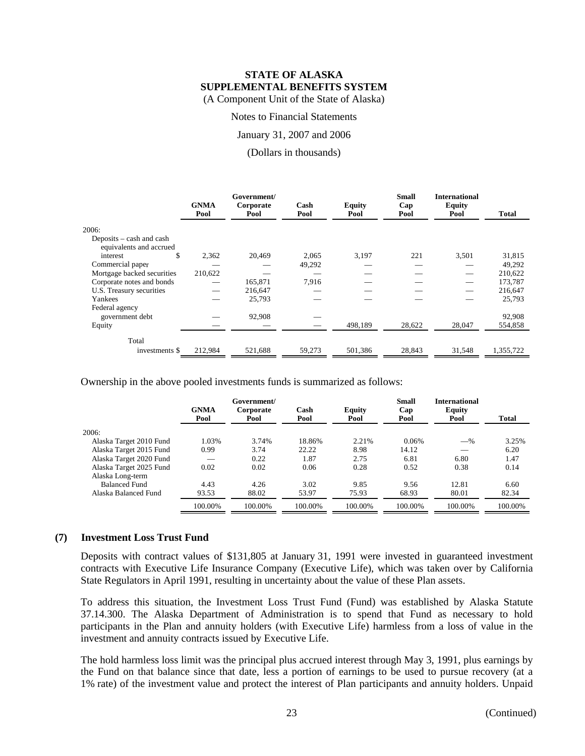Notes to Financial Statements

January 31, 2007 and 2006

#### (Dollars in thousands)

|                                                     | <b>GNMA</b><br>Pool | Government/<br>Corporate<br>Pool | Cash<br>Pool | <b>Equity</b><br>Pool | <b>Small</b><br>Cap<br>Pool | <b>International</b><br><b>Equity</b><br>Pool | <b>Total</b> |
|-----------------------------------------------------|---------------------|----------------------------------|--------------|-----------------------|-----------------------------|-----------------------------------------------|--------------|
| 2006:                                               |                     |                                  |              |                       |                             |                                               |              |
| Deposits – cash and cash<br>equivalents and accrued |                     |                                  |              |                       |                             |                                               |              |
| \$<br>interest                                      | 2,362               | 20,469                           | 2,065        | 3,197                 | 221                         | 3,501                                         | 31,815       |
| Commercial paper                                    |                     |                                  | 49,292       |                       |                             |                                               | 49,292       |
| Mortgage backed securities                          | 210,622             |                                  |              |                       |                             |                                               | 210,622      |
| Corporate notes and bonds                           |                     | 165,871                          | 7,916        |                       |                             |                                               | 173,787      |
| U.S. Treasury securities                            |                     | 216,647                          |              |                       |                             |                                               | 216,647      |
| Yankees                                             |                     | 25,793                           |              |                       |                             |                                               | 25,793       |
| Federal agency                                      |                     |                                  |              |                       |                             |                                               |              |
| government debt                                     |                     | 92,908                           |              |                       |                             |                                               | 92,908       |
| Equity                                              |                     |                                  |              | 498,189               | 28,622                      | 28,047                                        | 554,858      |
| Total                                               |                     |                                  |              |                       |                             |                                               |              |
| investments \$                                      | 212,984             | 521,688                          | 59,273       | 501,386               | 28,843                      | 31,548                                        | 1,355,722    |

Ownership in the above pooled investments funds is summarized as follows:

|                         | <b>GNMA</b><br>Pool | Government/<br>Corporate<br>Pool | Cash<br>Pool | <b>Equity</b><br>Pool | <b>Small</b><br>Cap<br>Pool | <b>International</b><br>Equity<br>Pool | <b>Total</b> |
|-------------------------|---------------------|----------------------------------|--------------|-----------------------|-----------------------------|----------------------------------------|--------------|
| 2006:                   |                     |                                  |              |                       |                             |                                        |              |
| Alaska Target 2010 Fund | 1.03%               | 3.74%                            | 18.86%       | 2.21%                 | 0.06%                       | $-$ %                                  | 3.25%        |
| Alaska Target 2015 Fund | 0.99                | 3.74                             | 22.22        | 8.98                  | 14.12                       |                                        | 6.20         |
| Alaska Target 2020 Fund |                     | 0.22                             | 1.87         | 2.75                  | 6.81                        | 6.80                                   | 1.47         |
| Alaska Target 2025 Fund | 0.02                | 0.02                             | 0.06         | 0.28                  | 0.52                        | 0.38                                   | 0.14         |
| Alaska Long-term        |                     |                                  |              |                       |                             |                                        |              |
| <b>Balanced Fund</b>    | 4.43                | 4.26                             | 3.02         | 9.85                  | 9.56                        | 12.81                                  | 6.60         |
| Alaska Balanced Fund    | 93.53               | 88.02                            | 53.97        | 75.93                 | 68.93                       | 80.01                                  | 82.34        |
|                         | 100.00%             | 100.00%                          | 100.00%      | 100.00%               | 100.00%                     | 100.00%                                | 100.00%      |

#### **(7) Investment Loss Trust Fund**

Deposits with contract values of \$131,805 at January 31, 1991 were invested in guaranteed investment contracts with Executive Life Insurance Company (Executive Life), which was taken over by California State Regulators in April 1991, resulting in uncertainty about the value of these Plan assets.

To address this situation, the Investment Loss Trust Fund (Fund) was established by Alaska Statute 37.14.300. The Alaska Department of Administration is to spend that Fund as necessary to hold participants in the Plan and annuity holders (with Executive Life) harmless from a loss of value in the investment and annuity contracts issued by Executive Life.

The hold harmless loss limit was the principal plus accrued interest through May 3, 1991, plus earnings by the Fund on that balance since that date, less a portion of earnings to be used to pursue recovery (at a 1% rate) of the investment value and protect the interest of Plan participants and annuity holders. Unpaid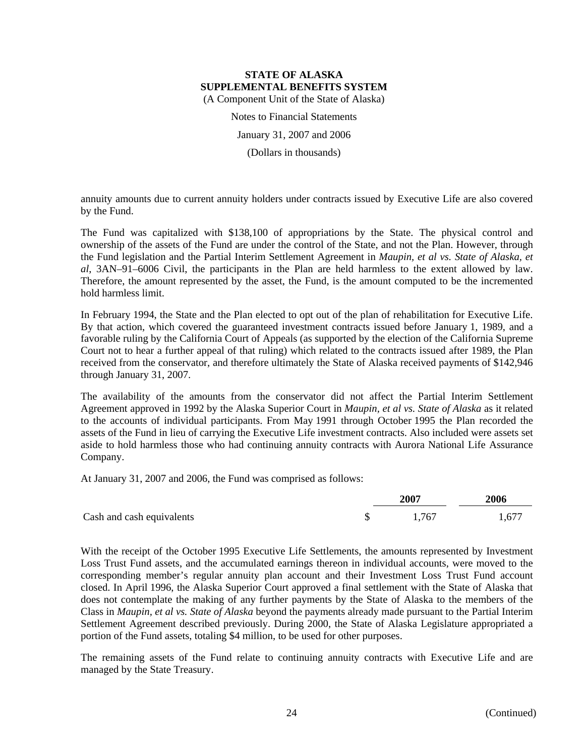Notes to Financial Statements

January 31, 2007 and 2006

(Dollars in thousands)

annuity amounts due to current annuity holders under contracts issued by Executive Life are also covered by the Fund.

The Fund was capitalized with \$138,100 of appropriations by the State. The physical control and ownership of the assets of the Fund are under the control of the State, and not the Plan. However, through the Fund legislation and the Partial Interim Settlement Agreement in *Maupin, et al vs. State of Alaska, et al*, 3AN–91–6006 Civil, the participants in the Plan are held harmless to the extent allowed by law. Therefore, the amount represented by the asset, the Fund, is the amount computed to be the incremented hold harmless limit.

In February 1994, the State and the Plan elected to opt out of the plan of rehabilitation for Executive Life. By that action, which covered the guaranteed investment contracts issued before January 1, 1989, and a favorable ruling by the California Court of Appeals (as supported by the election of the California Supreme Court not to hear a further appeal of that ruling) which related to the contracts issued after 1989, the Plan received from the conservator, and therefore ultimately the State of Alaska received payments of \$142,946 through January 31, 2007.

The availability of the amounts from the conservator did not affect the Partial Interim Settlement Agreement approved in 1992 by the Alaska Superior Court in *Maupin, et al vs. State of Alaska* as it related to the accounts of individual participants. From May 1991 through October 1995 the Plan recorded the assets of the Fund in lieu of carrying the Executive Life investment contracts. Also included were assets set aside to hold harmless those who had continuing annuity contracts with Aurora National Life Assurance Company.

At January 31, 2007 and 2006, the Fund was comprised as follows:

|                           | 2007  | 2006  |  |
|---------------------------|-------|-------|--|
| Cash and cash equivalents | 1,767 | 1,677 |  |

With the receipt of the October 1995 Executive Life Settlements, the amounts represented by Investment Loss Trust Fund assets, and the accumulated earnings thereon in individual accounts, were moved to the corresponding member's regular annuity plan account and their Investment Loss Trust Fund account closed. In April 1996, the Alaska Superior Court approved a final settlement with the State of Alaska that does not contemplate the making of any further payments by the State of Alaska to the members of the Class in *Maupin, et al vs. State of Alaska* beyond the payments already made pursuant to the Partial Interim Settlement Agreement described previously. During 2000, the State of Alaska Legislature appropriated a portion of the Fund assets, totaling \$4 million, to be used for other purposes.

The remaining assets of the Fund relate to continuing annuity contracts with Executive Life and are managed by the State Treasury.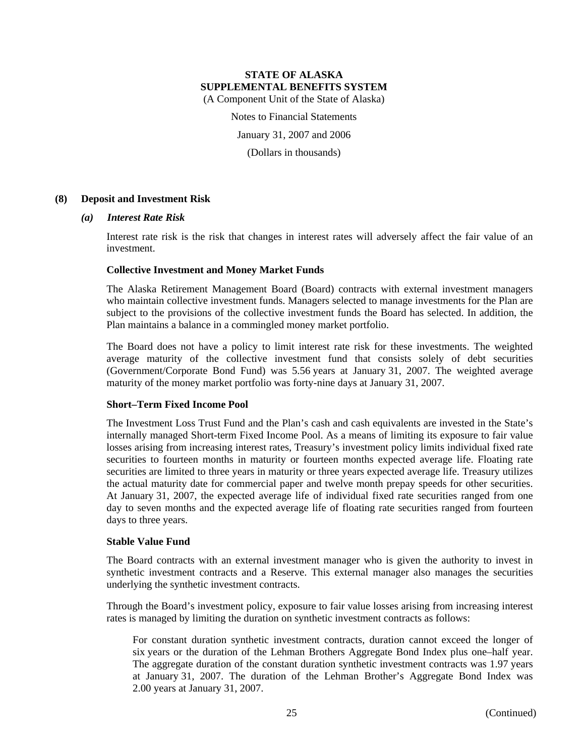Notes to Financial Statements

January 31, 2007 and 2006

(Dollars in thousands)

# **(8) Deposit and Investment Risk**

#### *(a) Interest Rate Risk*

Interest rate risk is the risk that changes in interest rates will adversely affect the fair value of an investment.

# **Collective Investment and Money Market Funds**

The Alaska Retirement Management Board (Board) contracts with external investment managers who maintain collective investment funds. Managers selected to manage investments for the Plan are subject to the provisions of the collective investment funds the Board has selected. In addition, the Plan maintains a balance in a commingled money market portfolio.

The Board does not have a policy to limit interest rate risk for these investments. The weighted average maturity of the collective investment fund that consists solely of debt securities (Government/Corporate Bond Fund) was 5.56 years at January 31, 2007. The weighted average maturity of the money market portfolio was forty-nine days at January 31, 2007.

# **Short–Term Fixed Income Pool**

The Investment Loss Trust Fund and the Plan's cash and cash equivalents are invested in the State's internally managed Short-term Fixed Income Pool. As a means of limiting its exposure to fair value losses arising from increasing interest rates, Treasury's investment policy limits individual fixed rate securities to fourteen months in maturity or fourteen months expected average life. Floating rate securities are limited to three years in maturity or three years expected average life. Treasury utilizes the actual maturity date for commercial paper and twelve month prepay speeds for other securities. At January 31, 2007, the expected average life of individual fixed rate securities ranged from one day to seven months and the expected average life of floating rate securities ranged from fourteen days to three years.

#### **Stable Value Fund**

The Board contracts with an external investment manager who is given the authority to invest in synthetic investment contracts and a Reserve. This external manager also manages the securities underlying the synthetic investment contracts.

Through the Board's investment policy, exposure to fair value losses arising from increasing interest rates is managed by limiting the duration on synthetic investment contracts as follows:

For constant duration synthetic investment contracts, duration cannot exceed the longer of six years or the duration of the Lehman Brothers Aggregate Bond Index plus one–half year. The aggregate duration of the constant duration synthetic investment contracts was 1.97 years at January 31, 2007. The duration of the Lehman Brother's Aggregate Bond Index was 2.00 years at January 31, 2007.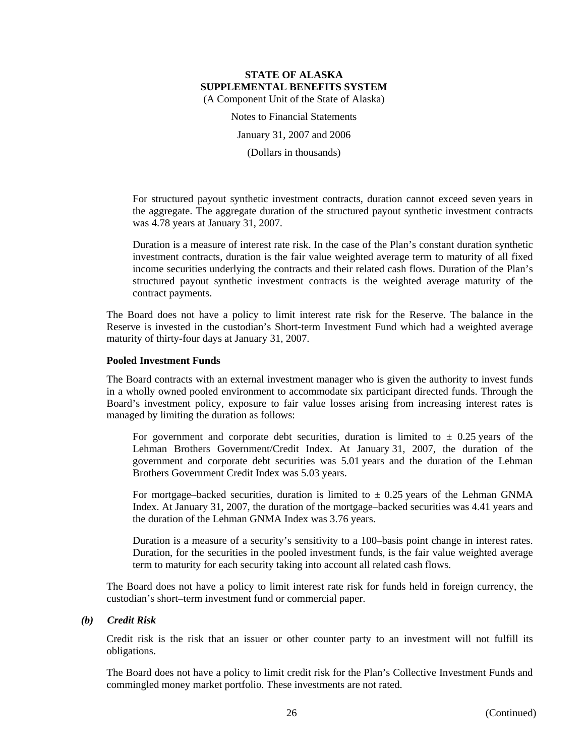Notes to Financial Statements

January 31, 2007 and 2006

(Dollars in thousands)

For structured payout synthetic investment contracts, duration cannot exceed seven years in the aggregate. The aggregate duration of the structured payout synthetic investment contracts was 4.78 years at January 31, 2007.

Duration is a measure of interest rate risk. In the case of the Plan's constant duration synthetic investment contracts, duration is the fair value weighted average term to maturity of all fixed income securities underlying the contracts and their related cash flows. Duration of the Plan's structured payout synthetic investment contracts is the weighted average maturity of the contract payments.

The Board does not have a policy to limit interest rate risk for the Reserve. The balance in the Reserve is invested in the custodian's Short-term Investment Fund which had a weighted average maturity of thirty-four days at January 31, 2007.

# **Pooled Investment Funds**

The Board contracts with an external investment manager who is given the authority to invest funds in a wholly owned pooled environment to accommodate six participant directed funds. Through the Board's investment policy, exposure to fair value losses arising from increasing interest rates is managed by limiting the duration as follows:

For government and corporate debt securities, duration is limited to  $\pm$  0.25 years of the Lehman Brothers Government/Credit Index. At January 31, 2007, the duration of the government and corporate debt securities was 5.01 years and the duration of the Lehman Brothers Government Credit Index was 5.03 years.

For mortgage–backed securities, duration is limited to  $\pm$  0.25 years of the Lehman GNMA Index. At January 31, 2007, the duration of the mortgage–backed securities was 4.41 years and the duration of the Lehman GNMA Index was 3.76 years.

Duration is a measure of a security's sensitivity to a 100–basis point change in interest rates. Duration, for the securities in the pooled investment funds, is the fair value weighted average term to maturity for each security taking into account all related cash flows.

The Board does not have a policy to limit interest rate risk for funds held in foreign currency, the custodian's short–term investment fund or commercial paper.

# *(b) Credit Risk*

Credit risk is the risk that an issuer or other counter party to an investment will not fulfill its obligations.

The Board does not have a policy to limit credit risk for the Plan's Collective Investment Funds and commingled money market portfolio. These investments are not rated.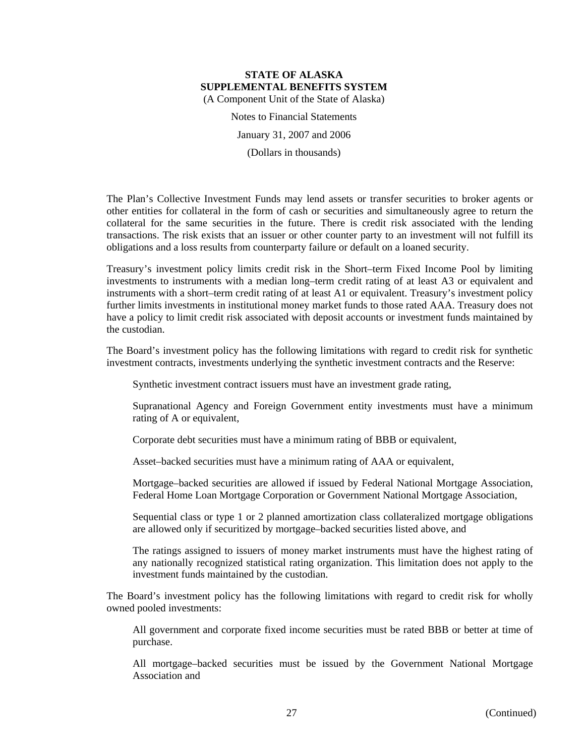Notes to Financial Statements January 31, 2007 and 2006

(Dollars in thousands)

The Plan's Collective Investment Funds may lend assets or transfer securities to broker agents or other entities for collateral in the form of cash or securities and simultaneously agree to return the collateral for the same securities in the future. There is credit risk associated with the lending transactions. The risk exists that an issuer or other counter party to an investment will not fulfill its obligations and a loss results from counterparty failure or default on a loaned security.

Treasury's investment policy limits credit risk in the Short–term Fixed Income Pool by limiting investments to instruments with a median long–term credit rating of at least A3 or equivalent and instruments with a short–term credit rating of at least A1 or equivalent. Treasury's investment policy further limits investments in institutional money market funds to those rated AAA. Treasury does not have a policy to limit credit risk associated with deposit accounts or investment funds maintained by the custodian.

The Board's investment policy has the following limitations with regard to credit risk for synthetic investment contracts, investments underlying the synthetic investment contracts and the Reserve:

Synthetic investment contract issuers must have an investment grade rating,

Supranational Agency and Foreign Government entity investments must have a minimum rating of A or equivalent,

Corporate debt securities must have a minimum rating of BBB or equivalent,

Asset–backed securities must have a minimum rating of AAA or equivalent,

Mortgage–backed securities are allowed if issued by Federal National Mortgage Association, Federal Home Loan Mortgage Corporation or Government National Mortgage Association,

Sequential class or type 1 or 2 planned amortization class collateralized mortgage obligations are allowed only if securitized by mortgage–backed securities listed above, and

The ratings assigned to issuers of money market instruments must have the highest rating of any nationally recognized statistical rating organization. This limitation does not apply to the investment funds maintained by the custodian.

The Board's investment policy has the following limitations with regard to credit risk for wholly owned pooled investments:

All government and corporate fixed income securities must be rated BBB or better at time of purchase.

All mortgage–backed securities must be issued by the Government National Mortgage Association and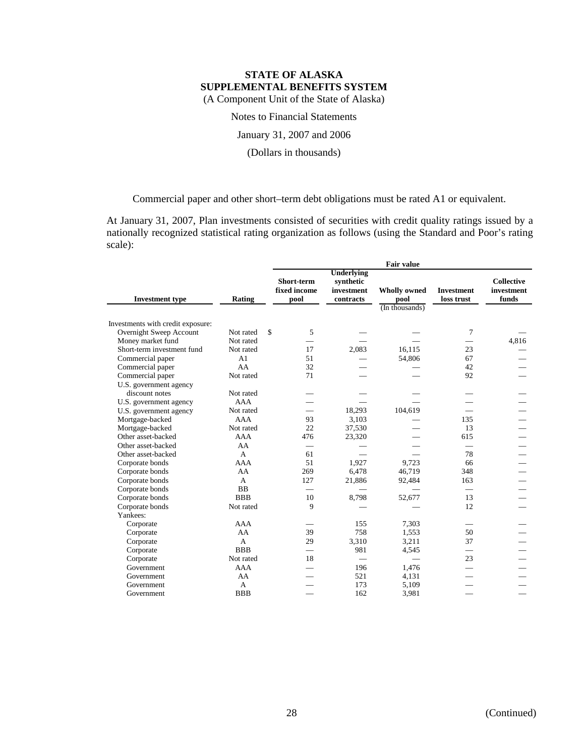Notes to Financial Statements

January 31, 2007 and 2006

(Dollars in thousands)

Commercial paper and other short–term debt obligations must be rated A1 or equivalent.

At January 31, 2007, Plan investments consisted of securities with credit quality ratings issued by a nationally recognized statistical rating organization as follows (using the Standard and Poor's rating scale):

|                                   |                | <b>Fair value</b> |                                    |                                                           |                                               |                                 |                                          |  |  |
|-----------------------------------|----------------|-------------------|------------------------------------|-----------------------------------------------------------|-----------------------------------------------|---------------------------------|------------------------------------------|--|--|
| <b>Investment type</b>            | Rating         |                   | Short-term<br>fixed income<br>pool | <b>Underlying</b><br>synthetic<br>investment<br>contracts | <b>Wholly owned</b><br>pool<br>(In thousands) | <b>Investment</b><br>loss trust | <b>Collective</b><br>investment<br>funds |  |  |
|                                   |                |                   |                                    |                                                           |                                               |                                 |                                          |  |  |
| Investments with credit exposure: |                |                   |                                    |                                                           |                                               |                                 |                                          |  |  |
| Overnight Sweep Account           | Not rated      | \$                | 5                                  |                                                           |                                               | 7                               |                                          |  |  |
| Money market fund                 | Not rated      |                   |                                    |                                                           |                                               |                                 | 4,816                                    |  |  |
| Short-term investment fund        | Not rated      |                   | 17                                 | 2,083                                                     | 16.115                                        | 23                              |                                          |  |  |
| Commercial paper                  | A <sub>1</sub> |                   | 51                                 |                                                           | 54,806                                        | 67                              |                                          |  |  |
| Commercial paper                  | AA             |                   | 32                                 |                                                           |                                               | 42                              |                                          |  |  |
| Commercial paper                  | Not rated      |                   | 71                                 |                                                           |                                               | 92                              |                                          |  |  |
| U.S. government agency            |                |                   |                                    |                                                           |                                               |                                 |                                          |  |  |
| discount notes                    | Not rated      |                   |                                    |                                                           |                                               |                                 |                                          |  |  |
| U.S. government agency            | <b>AAA</b>     |                   |                                    |                                                           |                                               |                                 |                                          |  |  |
| U.S. government agency            | Not rated      |                   | $\overline{\phantom{0}}$           | 18,293                                                    | 104,619                                       |                                 |                                          |  |  |
| Mortgage-backed                   | <b>AAA</b>     |                   | 93                                 | 3,103                                                     |                                               | 135                             |                                          |  |  |
| Mortgage-backed                   | Not rated      |                   | 22                                 | 37,530                                                    |                                               | 13                              |                                          |  |  |
| Other asset-backed                | <b>AAA</b>     |                   | 476                                | 23,320                                                    |                                               | 615                             |                                          |  |  |
| Other asset-backed                | AA             |                   | $\overline{\phantom{0}}$           |                                                           |                                               |                                 |                                          |  |  |
| Other asset-backed                | A              |                   | 61                                 |                                                           |                                               | 78                              |                                          |  |  |
| Corporate bonds                   | <b>AAA</b>     |                   | 51                                 | 1,927                                                     | 9.723                                         | 66                              |                                          |  |  |
| Corporate bonds                   | AA             |                   | 269                                | 6,478                                                     | 46,719                                        | 348                             |                                          |  |  |
| Corporate bonds                   | A              |                   | 127                                | 21,886                                                    | 92,484                                        | 163                             |                                          |  |  |
| Corporate bonds                   | <b>BB</b>      |                   | $\overline{\phantom{0}}$           |                                                           |                                               | $\overline{\phantom{0}}$        |                                          |  |  |
| Corporate bonds                   | <b>BBB</b>     |                   | 10                                 | 8,798                                                     | 52,677                                        | 13                              |                                          |  |  |
| Corporate bonds                   | Not rated      |                   | 9                                  |                                                           |                                               | 12                              |                                          |  |  |
| Yankees:                          |                |                   |                                    |                                                           |                                               |                                 |                                          |  |  |
| Corporate                         | <b>AAA</b>     |                   |                                    | 155                                                       | 7,303                                         |                                 |                                          |  |  |
| Corporate                         | AA             |                   | 39                                 | 758                                                       | 1,553                                         | 50                              |                                          |  |  |
| Corporate                         | $\mathsf{A}$   |                   | 29                                 | 3,310                                                     | 3,211                                         | 37                              |                                          |  |  |
| Corporate                         | <b>BBB</b>     |                   | $\overline{\phantom{0}}$           | 981                                                       | 4,545                                         | $\overline{\phantom{0}}$        |                                          |  |  |
| Corporate                         | Not rated      |                   | 18                                 | $\overline{\phantom{0}}$                                  | $\qquad \qquad$                               | 23                              |                                          |  |  |
| Government                        | <b>AAA</b>     |                   |                                    | 196                                                       | 1,476                                         |                                 |                                          |  |  |
| Government                        | AA             |                   |                                    | 521                                                       | 4,131                                         |                                 |                                          |  |  |
| Government                        | A              |                   |                                    | 173                                                       | 5,109                                         |                                 |                                          |  |  |
| Government                        | <b>BBB</b>     |                   |                                    | 162                                                       | 3,981                                         |                                 |                                          |  |  |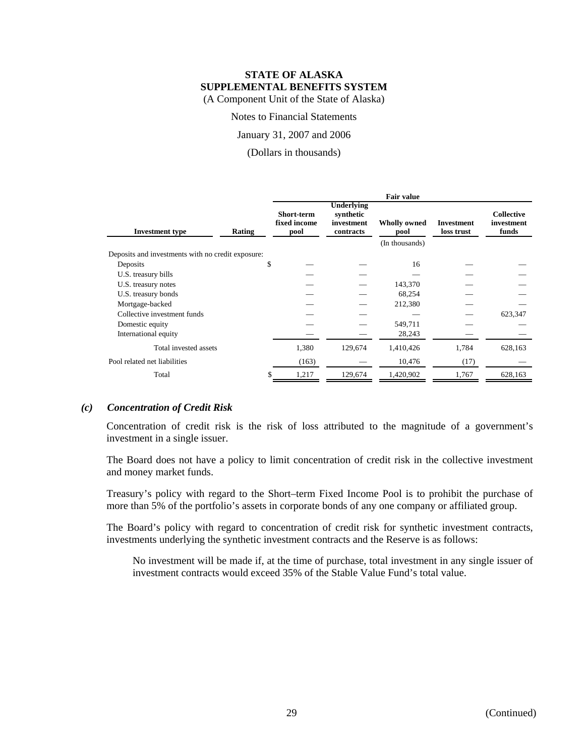Notes to Financial Statements

January 31, 2007 and 2006

(Dollars in thousands)

|                                                   |        | <b>Fair value</b>                  |                                                           |                                               |                                 |                                          |
|---------------------------------------------------|--------|------------------------------------|-----------------------------------------------------------|-----------------------------------------------|---------------------------------|------------------------------------------|
| <b>Investment</b> type                            | Rating | Short-term<br>fixed income<br>pool | <b>Underlying</b><br>synthetic<br>investment<br>contracts | <b>Wholly owned</b><br>pool<br>(In thousands) | <b>Investment</b><br>loss trust | <b>Collective</b><br>investment<br>funds |
| Deposits and investments with no credit exposure: |        |                                    |                                                           |                                               |                                 |                                          |
| Deposits                                          |        | \$                                 |                                                           | 16                                            |                                 |                                          |
| U.S. treasury bills                               |        |                                    |                                                           |                                               |                                 |                                          |
| U.S. treasury notes                               |        |                                    |                                                           | 143,370                                       |                                 |                                          |
| U.S. treasury bonds                               |        |                                    |                                                           | 68,254                                        |                                 |                                          |
| Mortgage-backed                                   |        |                                    |                                                           | 212,380                                       |                                 |                                          |
| Collective investment funds                       |        |                                    |                                                           |                                               |                                 | 623,347                                  |
| Domestic equity                                   |        |                                    |                                                           | 549,711                                       |                                 |                                          |
| International equity                              |        |                                    |                                                           | 28,243                                        |                                 |                                          |
| Total invested assets                             |        | 1,380                              | 129,674                                                   | 1,410,426                                     | 1,784                           | 628,163                                  |
| Pool related net liabilities                      |        | (163)                              |                                                           | 10,476                                        | (17)                            |                                          |
| Total                                             |        | 1,217                              | 129,674                                                   | 1,420,902                                     | 1,767                           | 628,163                                  |

# *(c) Concentration of Credit Risk*

Concentration of credit risk is the risk of loss attributed to the magnitude of a government's investment in a single issuer.

The Board does not have a policy to limit concentration of credit risk in the collective investment and money market funds.

Treasury's policy with regard to the Short–term Fixed Income Pool is to prohibit the purchase of more than 5% of the portfolio's assets in corporate bonds of any one company or affiliated group.

The Board's policy with regard to concentration of credit risk for synthetic investment contracts, investments underlying the synthetic investment contracts and the Reserve is as follows:

No investment will be made if, at the time of purchase, total investment in any single issuer of investment contracts would exceed 35% of the Stable Value Fund's total value.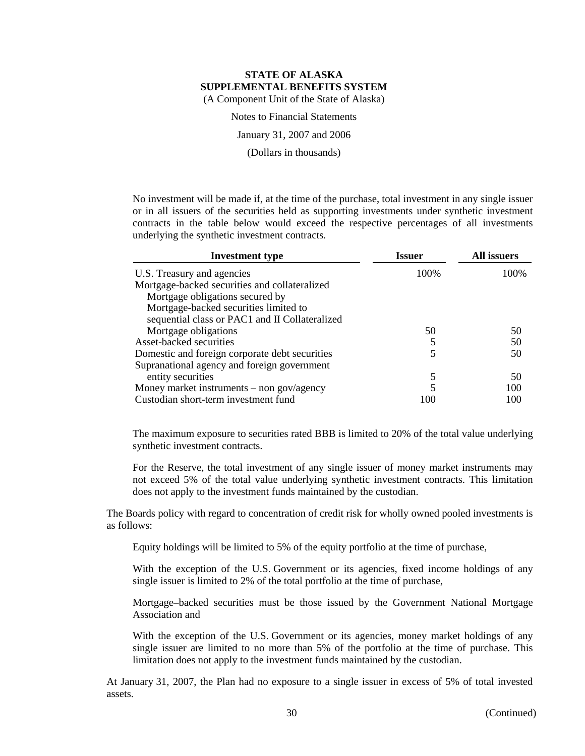Notes to Financial Statements

January 31, 2007 and 2006

(Dollars in thousands)

No investment will be made if, at the time of the purchase, total investment in any single issuer or in all issuers of the securities held as supporting investments under synthetic investment contracts in the table below would exceed the respective percentages of all investments underlying the synthetic investment contracts.

| <b>Investment type</b>                         | <b>Issuer</b> | <b>All issuers</b> |  |
|------------------------------------------------|---------------|--------------------|--|
| U.S. Treasury and agencies                     | 100\%         | 100%               |  |
| Mortgage-backed securities and collateralized  |               |                    |  |
| Mortgage obligations secured by                |               |                    |  |
| Mortgage-backed securities limited to          |               |                    |  |
| sequential class or PAC1 and II Collateralized |               |                    |  |
| Mortgage obligations                           | 50            | 50                 |  |
| Asset-backed securities                        | 5             | 50                 |  |
| Domestic and foreign corporate debt securities | 5             | 50                 |  |
| Supranational agency and foreign government    |               |                    |  |
| entity securities                              | 5             | 50                 |  |
| Money market instruments $-$ non gov/agency    | 5             | 100                |  |
| Custodian short-term investment fund           | 100           | 100                |  |

The maximum exposure to securities rated BBB is limited to 20% of the total value underlying synthetic investment contracts.

For the Reserve, the total investment of any single issuer of money market instruments may not exceed 5% of the total value underlying synthetic investment contracts. This limitation does not apply to the investment funds maintained by the custodian.

The Boards policy with regard to concentration of credit risk for wholly owned pooled investments is as follows:

Equity holdings will be limited to 5% of the equity portfolio at the time of purchase,

With the exception of the U.S. Government or its agencies, fixed income holdings of any single issuer is limited to 2% of the total portfolio at the time of purchase,

Mortgage–backed securities must be those issued by the Government National Mortgage Association and

With the exception of the U.S. Government or its agencies, money market holdings of any single issuer are limited to no more than 5% of the portfolio at the time of purchase. This limitation does not apply to the investment funds maintained by the custodian.

At January 31, 2007, the Plan had no exposure to a single issuer in excess of 5% of total invested assets.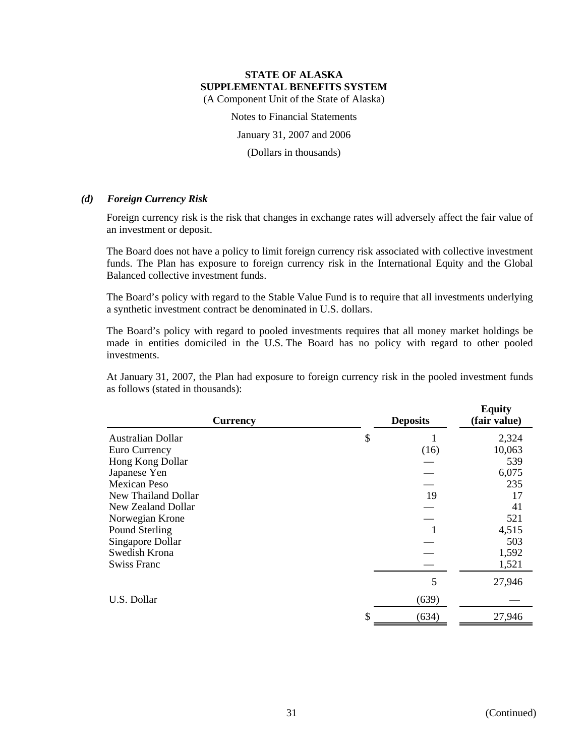Notes to Financial Statements

January 31, 2007 and 2006

(Dollars in thousands)

# *(d) Foreign Currency Risk*

Foreign currency risk is the risk that changes in exchange rates will adversely affect the fair value of an investment or deposit.

The Board does not have a policy to limit foreign currency risk associated with collective investment funds. The Plan has exposure to foreign currency risk in the International Equity and the Global Balanced collective investment funds.

The Board's policy with regard to the Stable Value Fund is to require that all investments underlying a synthetic investment contract be denominated in U.S. dollars.

The Board's policy with regard to pooled investments requires that all money market holdings be made in entities domiciled in the U.S. The Board has no policy with regard to other pooled investments.

At January 31, 2007, the Plan had exposure to foreign currency risk in the pooled investment funds as follows (stated in thousands):

| <b>Currency</b>          | <b>Deposits</b> | <b>Equity</b><br>(fair value) |
|--------------------------|-----------------|-------------------------------|
| <b>Australian Dollar</b> | \$              | 2,324                         |
| Euro Currency            | (16)            | 10,063                        |
| Hong Kong Dollar         |                 | 539                           |
| Japanese Yen             |                 | 6,075                         |
| Mexican Peso             |                 | 235                           |
| New Thailand Dollar      | 19              | 17                            |
| New Zealand Dollar       |                 | 41                            |
| Norwegian Krone          |                 | 521                           |
| Pound Sterling           |                 | 4,515                         |
| Singapore Dollar         |                 | 503                           |
| Swedish Krona            |                 | 1,592                         |
| <b>Swiss Franc</b>       |                 | 1,521                         |
|                          | 5               | 27,946                        |
| U.S. Dollar              | (639)           |                               |
|                          | \$<br>(634)     | 27,946                        |